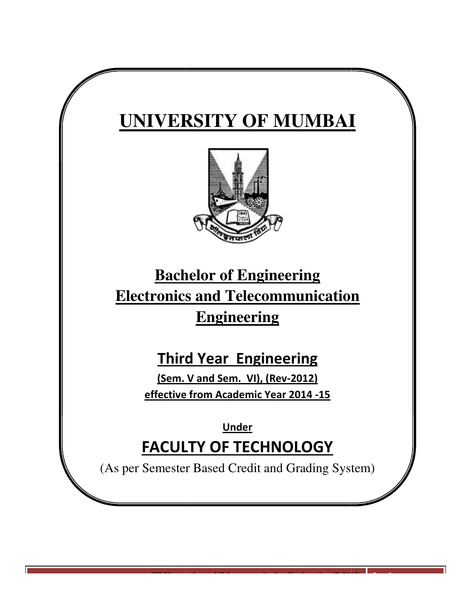# **UNIVERSITY OF MUMBAI**



# **Bachelor of of Engineering Electronics and Telecommunication Engineering**

# **Third Year Engineering**

(Sem. V and Sem. VI), (Rev-2012) effective from Academic Year 2014 -15

FACULTY OF TECHNOLOGY **Under** 

(As per Semester Based Credit and Grading System)

**TE Electronics and Telecommunication Engineering (R 2012)**

Page 1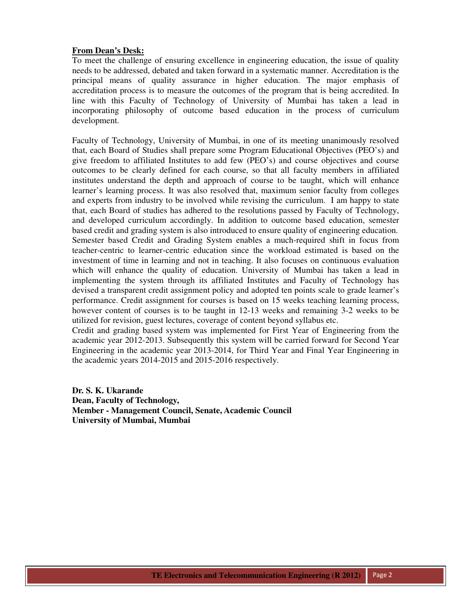## **From Dean's Desk:**

To meet the challenge of ensuring excellence in engineering education, the issue of quality needs to be addressed, debated and taken forward in a systematic manner. Accreditation is the principal means of quality assurance in higher education. The major emphasis of accreditation process is to measure the outcomes of the program that is being accredited. In line with this Faculty of Technology of University of Mumbai has taken a lead in incorporating philosophy of outcome based education in the process of curriculum development.

Faculty of Technology, University of Mumbai, in one of its meeting unanimously resolved that, each Board of Studies shall prepare some Program Educational Objectives (PEO's) and give freedom to affiliated Institutes to add few (PEO's) and course objectives and course outcomes to be clearly defined for each course, so that all faculty members in affiliated institutes understand the depth and approach of course to be taught, which will enhance learner's learning process. It was also resolved that, maximum senior faculty from colleges and experts from industry to be involved while revising the curriculum. I am happy to state that, each Board of studies has adhered to the resolutions passed by Faculty of Technology, and developed curriculum accordingly. In addition to outcome based education, semester based credit and grading system is also introduced to ensure quality of engineering education. Semester based Credit and Grading System enables a much-required shift in focus from teacher-centric to learner-centric education since the workload estimated is based on the investment of time in learning and not in teaching. It also focuses on continuous evaluation which will enhance the quality of education. University of Mumbai has taken a lead in implementing the system through its affiliated Institutes and Faculty of Technology has devised a transparent credit assignment policy and adopted ten points scale to grade learner's performance. Credit assignment for courses is based on 15 weeks teaching learning process, however content of courses is to be taught in 12-13 weeks and remaining 3-2 weeks to be utilized for revision, guest lectures, coverage of content beyond syllabus etc.

Credit and grading based system was implemented for First Year of Engineering from the academic year 2012-2013. Subsequently this system will be carried forward for Second Year Engineering in the academic year 2013-2014, for Third Year and Final Year Engineering in the academic years 2014-2015 and 2015-2016 respectively.

**Dr. S. K. Ukarande Dean, Faculty of Technology, Member - Management Council, Senate, Academic Council University of Mumbai, Mumbai**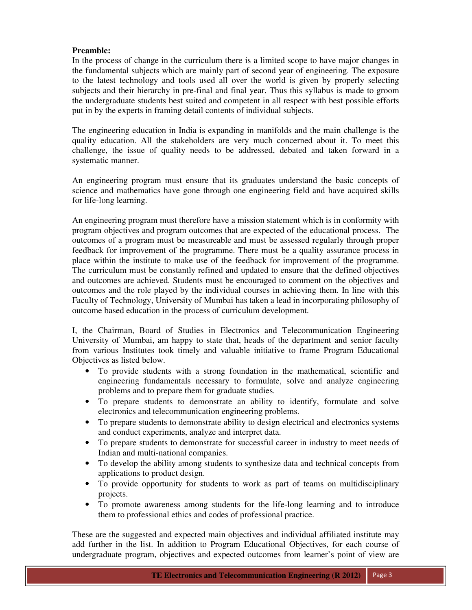# **Preamble:**

In the process of change in the curriculum there is a limited scope to have major changes in the fundamental subjects which are mainly part of second year of engineering. The exposure to the latest technology and tools used all over the world is given by properly selecting subjects and their hierarchy in pre-final and final year. Thus this syllabus is made to groom the undergraduate students best suited and competent in all respect with best possible efforts put in by the experts in framing detail contents of individual subjects.

The engineering education in India is expanding in manifolds and the main challenge is the quality education. All the stakeholders are very much concerned about it. To meet this challenge, the issue of quality needs to be addressed, debated and taken forward in a systematic manner.

An engineering program must ensure that its graduates understand the basic concepts of science and mathematics have gone through one engineering field and have acquired skills for life-long learning.

An engineering program must therefore have a mission statement which is in conformity with program objectives and program outcomes that are expected of the educational process. The outcomes of a program must be measureable and must be assessed regularly through proper feedback for improvement of the programme. There must be a quality assurance process in place within the institute to make use of the feedback for improvement of the programme. The curriculum must be constantly refined and updated to ensure that the defined objectives and outcomes are achieved. Students must be encouraged to comment on the objectives and outcomes and the role played by the individual courses in achieving them. In line with this Faculty of Technology, University of Mumbai has taken a lead in incorporating philosophy of outcome based education in the process of curriculum development.

I, the Chairman, Board of Studies in Electronics and Telecommunication Engineering University of Mumbai, am happy to state that, heads of the department and senior faculty from various Institutes took timely and valuable initiative to frame Program Educational Objectives as listed below.

- To provide students with a strong foundation in the mathematical, scientific and engineering fundamentals necessary to formulate, solve and analyze engineering problems and to prepare them for graduate studies.
- To prepare students to demonstrate an ability to identify, formulate and solve electronics and telecommunication engineering problems.
- To prepare students to demonstrate ability to design electrical and electronics systems and conduct experiments, analyze and interpret data.
- To prepare students to demonstrate for successful career in industry to meet needs of Indian and multi-national companies.
- To develop the ability among students to synthesize data and technical concepts from applications to product design.
- To provide opportunity for students to work as part of teams on multidisciplinary projects.
- To promote awareness among students for the life-long learning and to introduce them to professional ethics and codes of professional practice.

These are the suggested and expected main objectives and individual affiliated institute may add further in the list. In addition to Program Educational Objectives, for each course of undergraduate program, objectives and expected outcomes from learner's point of view are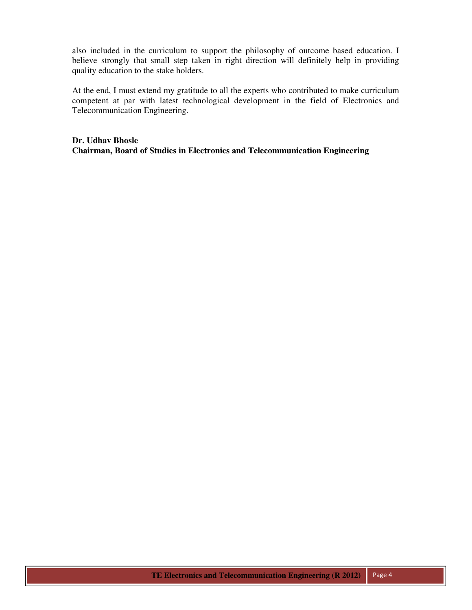also included in the curriculum to support the philosophy of outcome based education. I believe strongly that small step taken in right direction will definitely help in providing quality education to the stake holders.

At the end, I must extend my gratitude to all the experts who contributed to make curriculum competent at par with latest technological development in the field of Electronics and Telecommunication Engineering.

**Dr. Udhav Bhosle Chairman, Board of Studies in Electronics and Telecommunication Engineering**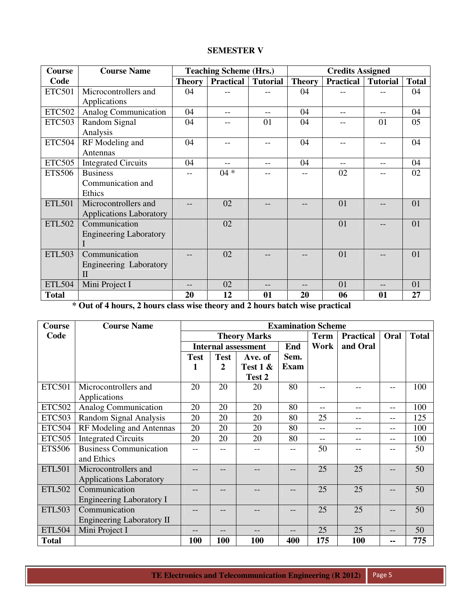# **SEMESTER V**

| <b>Course</b> | <b>Course Name</b>                 |               | <b>Teaching Scheme (Hrs.)</b> |                 |               | <b>Credits Assigned</b>   |       |              |
|---------------|------------------------------------|---------------|-------------------------------|-----------------|---------------|---------------------------|-------|--------------|
| Code          |                                    | <b>Theory</b> | <b>Practical</b>              | <b>Tutorial</b> | <b>Theory</b> | <b>Practical</b> Tutorial |       | <b>Total</b> |
| <b>ETC501</b> | Microcontrollers and               | 04            |                               |                 | 04            |                           |       | 04           |
|               | Applications                       |               |                               |                 |               |                           |       |              |
| <b>ETC502</b> | <b>Analog Communication</b>        | 04            |                               | $- -$           | 04            |                           | $- -$ | 04           |
| <b>ETC503</b> | Random Signal                      | 04            |                               | 01              | 04            |                           | 01    | 05           |
|               | Analysis                           |               |                               |                 |               |                           |       |              |
| <b>ETC504</b> | RF Modeling and                    | 04            |                               | --              | 04            |                           | --    | 04           |
|               | Antennas                           |               |                               |                 |               |                           |       |              |
| <b>ETC505</b> | <b>Integrated Circuits</b>         | 04            |                               | $- -$           | 04            |                           | $-$   | 04           |
| <b>ETS506</b> | <b>Business</b>                    | --            | $04 *$                        |                 | --            | 02                        |       | 02           |
|               | Communication and                  |               |                               |                 |               |                           |       |              |
|               | Ethics                             |               |                               |                 |               |                           |       |              |
| <b>ETL501</b> | Microcontrollers and               |               | 02                            |                 |               | 01                        |       | 01           |
|               | <b>Applications Laboratory</b>     |               |                               |                 |               |                           |       |              |
| <b>ETL502</b> | Communication                      |               | 02                            |                 |               | 01                        |       | 01           |
|               | <b>Engineering Laboratory</b>      |               |                               |                 |               |                           |       |              |
|               |                                    |               |                               |                 |               |                           |       |              |
| <b>ETL503</b> | Communication                      |               | 02                            |                 |               | 01                        |       | 01           |
|               | Engineering Laboratory             |               |                               |                 |               |                           |       |              |
|               | $\mathbf{I}$                       |               |                               |                 |               |                           |       |              |
| <b>ETL504</b> | Mini Project I                     | --            | 02                            |                 |               | 01                        | --    | 01           |
| <b>Total</b>  | $\sim$ $\sim$ $\sim$ $\sim$ $\sim$ | 20            | 12                            | 01              | 20            | 06                        | 01    | 27           |

**\* Out of 4 hours, 2 hours class wise theory and 2 hours batch wise practical** 

| Course        | <b>Course Name</b>               | <b>Examination Scheme</b> |             |                            |             |             |                  |      |              |  |
|---------------|----------------------------------|---------------------------|-------------|----------------------------|-------------|-------------|------------------|------|--------------|--|
| Code          |                                  | <b>Theory Marks</b>       |             |                            |             | <b>Term</b> | <b>Practical</b> | Oral | <b>Total</b> |  |
|               |                                  |                           |             | <b>Internal assessment</b> | End         | Work        | and Oral         |      |              |  |
|               |                                  | <b>Test</b>               | <b>Test</b> | Ave. of                    | Sem.        |             |                  |      |              |  |
|               |                                  | 1                         | 2           | Test $1 \&$                | <b>Exam</b> |             |                  |      |              |  |
|               |                                  |                           |             | Test 2                     |             |             |                  |      |              |  |
| <b>ETC501</b> | Microcontrollers and             | 20                        | 20          | 20                         | 80          |             |                  |      | 100          |  |
|               | Applications                     |                           |             |                            |             |             |                  |      |              |  |
| <b>ETC502</b> | Analog Communication             | 20                        | 20          | 20                         | 80          | $- -$       | $-$              | $-$  | 100          |  |
| <b>ETC503</b> | Random Signal Analysis           | 20                        | 20          | 20                         | 80          | 25          | $- -$            | $-$  | 125          |  |
| <b>ETC504</b> | RF Modeling and Antennas         | 20                        | 20<br>20    |                            |             | $-$         | --               | --   | 100          |  |
| <b>ETC505</b> | <b>Integrated Circuits</b>       | 20                        | 20          | 20                         | 80          | $--$        | --               | --   | 100          |  |
| <b>ETS506</b> | <b>Business Communication</b>    |                           |             |                            |             | 50          |                  |      | 50           |  |
|               | and Ethics                       |                           |             |                            |             |             |                  |      |              |  |
| <b>ETL501</b> | Microcontrollers and             |                           |             |                            |             | 25          | 25               |      | 50           |  |
|               | <b>Applications Laboratory</b>   |                           |             |                            |             |             |                  |      |              |  |
| <b>ETL502</b> | Communication                    |                           |             |                            |             | 25          | 25               |      | 50           |  |
|               | <b>Engineering Laboratory I</b>  |                           |             |                            |             |             |                  |      |              |  |
| <b>ETL503</b> | Communication                    |                           |             |                            |             | 25          | 25               |      | 50           |  |
|               | <b>Engineering Laboratory II</b> |                           |             |                            |             |             |                  |      |              |  |
| <b>ETL504</b> | Mini Project I                   | --                        |             |                            |             | 25          | 25               | $ -$ | 50           |  |
| <b>Total</b>  |                                  | <b>100</b>                | 100         | <b>100</b>                 | 400         | 175         | <b>100</b>       | --   | 775          |  |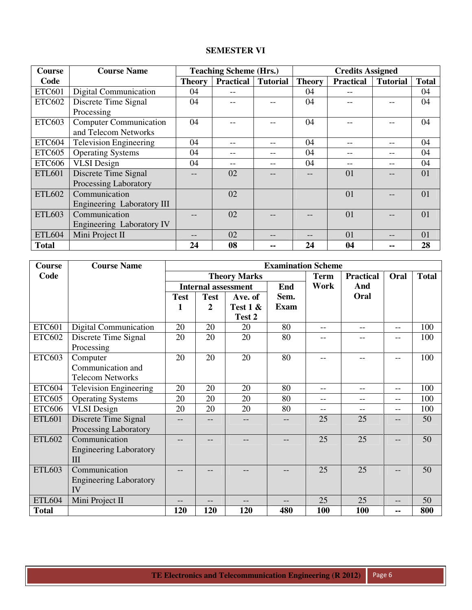# **SEMESTER VI**

| <b>Course</b> | <b>Course Name</b>            |               | <b>Teaching Scheme (Hrs.)</b> |                 |               | <b>Credits Assigned</b> |                 |              |
|---------------|-------------------------------|---------------|-------------------------------|-----------------|---------------|-------------------------|-----------------|--------------|
| Code          |                               | <b>Theory</b> | <b>Practical</b>              | <b>Tutorial</b> | <b>Theory</b> | <b>Practical</b>        | <b>Tutorial</b> | <b>Total</b> |
| <b>ETC601</b> | <b>Digital Communication</b>  | 04            |                               |                 | 04            |                         |                 | 04           |
| <b>ETC602</b> | Discrete Time Signal          | 04            |                               |                 | 04            |                         |                 | 04           |
|               | Processing                    |               |                               |                 |               |                         |                 |              |
| <b>ETC603</b> | <b>Computer Communication</b> | 04            |                               |                 | 04            |                         |                 | 04           |
|               | and Telecom Networks          |               |                               |                 |               |                         |                 |              |
| ETC604        | <b>Television Engineering</b> | 04            |                               |                 | 04            |                         |                 | 04           |
| <b>ETC605</b> | <b>Operating Systems</b>      | 04            |                               |                 | 04            |                         |                 | 04           |
| <b>ETC606</b> | <b>VLSI</b> Design            | 04            |                               |                 | 04            |                         |                 | 04           |
| <b>ETL601</b> | Discrete Time Signal          |               | 02                            |                 |               | 01                      |                 | 01           |
|               | Processing Laboratory         |               |                               |                 |               |                         |                 |              |
| <b>ETL602</b> | Communication                 |               | 02                            |                 |               | 01                      |                 | 01           |
|               | Engineering Laboratory III    |               |                               |                 |               |                         |                 |              |
| <b>ETL603</b> | Communication                 |               | 02                            |                 |               | 01                      |                 | 01           |
|               | Engineering Laboratory IV     |               |                               |                 |               |                         |                 |              |
| <b>ETL604</b> | Mini Project II               |               | 02                            |                 |               | 01                      |                 | 01           |
| <b>Total</b>  |                               | 24            | 08                            |                 | 24            | 04                      |                 | 28           |

| Course        | <b>Course Name</b>            |             |                            |                     | <b>Examination Scheme</b> |             |                  |       |              |
|---------------|-------------------------------|-------------|----------------------------|---------------------|---------------------------|-------------|------------------|-------|--------------|
| Code          |                               |             |                            | <b>Theory Marks</b> |                           | <b>Term</b> | <b>Practical</b> | Oral  | <b>Total</b> |
|               |                               |             | <b>Internal assessment</b> |                     | End                       | Work        | And              |       |              |
|               |                               | <b>Test</b> | <b>Test</b>                | Ave. of             | Sem.                      |             | Oral             |       |              |
|               |                               | 1           | $\mathbf{2}$               | Test $1 \&$         | <b>Exam</b>               |             |                  |       |              |
|               |                               |             |                            | Test 2              |                           |             |                  |       |              |
| <b>ETC601</b> | Digital Communication         | 20          | 20                         | 20                  | 80                        | $-$         | $-$              | $- -$ | 100          |
| <b>ETC602</b> | Discrete Time Signal          | 20          | 20                         | 20                  | 80                        | --          | ۰.               | --    | 100          |
|               | Processing                    |             |                            |                     |                           |             |                  |       |              |
| <b>ETC603</b> | Computer                      | 20          | 20                         | 20                  | 80                        | $- -$       | --               | --    | 100          |
|               | Communication and             |             |                            |                     |                           |             |                  |       |              |
|               | <b>Telecom Networks</b>       |             |                            |                     |                           |             |                  |       |              |
| <b>ETC604</b> | <b>Television Engineering</b> | 20          | 20                         | 20                  | 80                        | $-$         | $-$              | $-$   | 100          |
| <b>ETC605</b> | <b>Operating Systems</b>      | 20          | 20                         | 20                  | 80                        | $-$         | $- -$            | $-$   | 100          |
| <b>ETC606</b> | <b>VLSI</b> Design            | 20          | 20                         | 20                  | 80                        | $-$         | $-$              | $-$   | 100          |
| <b>ETL601</b> | Discrete Time Signal          | $-$         |                            | --                  |                           | 25          | 25               | $-$   | 50           |
|               | Processing Laboratory         |             |                            |                     |                           |             |                  |       |              |
| <b>ETL602</b> | Communication                 | --          |                            |                     |                           | 25          | 25               |       | 50           |
|               | <b>Engineering Laboratory</b> |             |                            |                     |                           |             |                  |       |              |
|               | III                           |             |                            |                     |                           |             |                  |       |              |
| <b>ETL603</b> | Communication                 | --          |                            |                     |                           | 25          | 25               |       | 50           |
|               | <b>Engineering Laboratory</b> |             |                            |                     |                           |             |                  |       |              |
|               | IV                            |             |                            |                     |                           |             |                  |       |              |
| <b>ETL604</b> | Mini Project II               | --          | --                         | --                  | $\qquad \qquad -$         | 25          | 25               | --    | 50           |
| <b>Total</b>  |                               | 120         | 120                        | 120                 | 480                       | 100         | 100              | --    | 800          |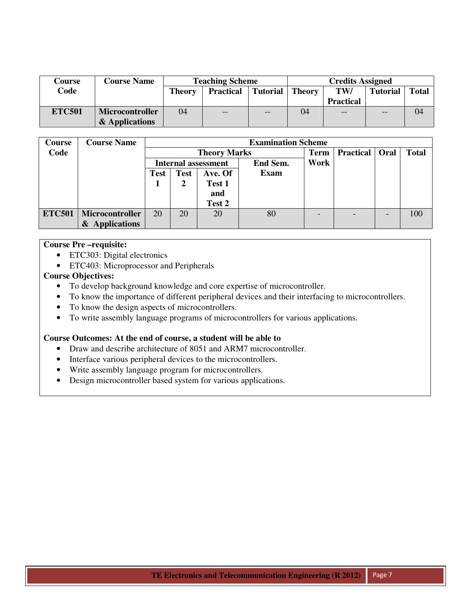| Course        | <b>Course Name</b>     |               | <b>Teaching Scheme</b>                               |      | <b>Credits Assigned</b> |                  |                 |              |  |
|---------------|------------------------|---------------|------------------------------------------------------|------|-------------------------|------------------|-----------------|--------------|--|
| Code          |                        | <b>Theory</b> | <b>Theory</b><br><b>Tutorial</b><br><b>Practical</b> |      |                         | TW/              | <b>Tutorial</b> | <b>Total</b> |  |
|               |                        |               |                                                      |      |                         | <b>Practical</b> |                 |              |  |
| <b>ETC501</b> | <b>Microcontroller</b> | 04            | $-$                                                  | $ -$ | 04                      | $- -$            | $- -$           | 04           |  |
|               | & Applications         |               |                                                      |      |                         |                  |                 |              |  |

| <b>Course</b> | <b>Course Name</b>     |             |             |                            | <b>Examination Scheme</b> |      |                  |      |              |
|---------------|------------------------|-------------|-------------|----------------------------|---------------------------|------|------------------|------|--------------|
| Code          |                        |             |             | <b>Theory Marks</b>        |                           | Term | <b>Practical</b> | Oral | <b>Total</b> |
|               |                        |             |             | <b>Internal assessment</b> | End Sem.                  | Work |                  |      |              |
|               |                        | <b>Test</b> | <b>Test</b> | Ave. Of                    | <b>Exam</b>               |      |                  |      |              |
|               |                        |             | Test 1<br>2 |                            |                           |      |                  |      |              |
|               |                        |             |             | and                        |                           |      |                  |      |              |
|               |                        |             |             | Test 2                     |                           |      |                  |      |              |
| <b>ETC501</b> | <b>Microcontroller</b> | 20          | 20          | 20                         | 80                        |      |                  |      | 100          |
|               | & Applications         |             |             |                            |                           |      |                  |      |              |

# **Course Pre –requisite:**

- ETC303: Digital electronics
- ETC403: Microprocessor and Peripherals

# **Course Objectives:**

- To develop background knowledge and core expertise of microcontroller.
- To know the importance of different peripheral devices and their interfacing to microcontrollers.
- To know the design aspects of microcontrollers.
- To write assembly language programs of microcontrollers for various applications.

# **Course Outcomes: At the end of course, a student will be able to**

- Draw and describe architecture of 8051 and ARM7 microcontroller.
- Interface various peripheral devices to the microcontrollers.
- Write assembly language program for microcontrollers.
- Design microcontroller based system for various applications.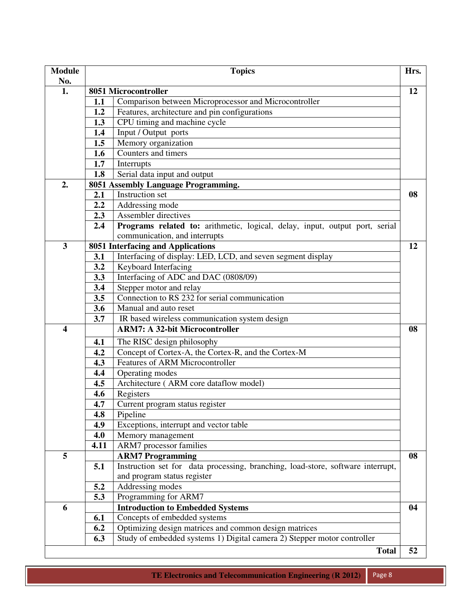| <b>Module</b><br>No. |      | <b>Topics</b>                                                                   | Hrs. |
|----------------------|------|---------------------------------------------------------------------------------|------|
| 1.                   |      | 8051 Microcontroller                                                            | 12   |
|                      | 1.1  | Comparison between Microprocessor and Microcontroller                           |      |
|                      | 1.2  | Features, architecture and pin configurations                                   |      |
|                      | 1.3  | CPU timing and machine cycle                                                    |      |
|                      | 1.4  | Input / Output ports                                                            |      |
|                      | 1.5  | Memory organization                                                             |      |
|                      | 1.6  | Counters and timers                                                             |      |
|                      | 1.7  | Interrupts                                                                      |      |
|                      | 1.8  | Serial data input and output                                                    |      |
| 2.                   |      | 8051 Assembly Language Programming.                                             |      |
|                      | 2.1  | Instruction set                                                                 | 08   |
|                      | 2.2  | Addressing mode                                                                 |      |
|                      | 2.3  | Assembler directives                                                            |      |
|                      | 2.4  | Programs related to: arithmetic, logical, delay, input, output port, serial     |      |
|                      |      | communication, and interrupts                                                   |      |
| 3                    |      | 8051 Interfacing and Applications                                               | 12   |
|                      | 3.1  | Interfacing of display: LED, LCD, and seven segment display                     |      |
|                      | 3.2  | Keyboard Interfacing                                                            |      |
|                      | 3.3  | Interfacing of ADC and DAC (0808/09)                                            |      |
|                      | 3.4  | Stepper motor and relay                                                         |      |
|                      | 3.5  | Connection to RS 232 for serial communication                                   |      |
|                      | 3.6  | Manual and auto reset                                                           |      |
|                      | 3.7  | IR based wireless communication system design                                   |      |
| 4                    |      | <b>ARM7: A 32-bit Microcontroller</b>                                           | 08   |
|                      | 4.1  | The RISC design philosophy                                                      |      |
|                      | 4.2  | Concept of Cortex-A, the Cortex-R, and the Cortex-M                             |      |
|                      | 4.3  | Features of ARM Microcontroller                                                 |      |
|                      | 4.4  | Operating modes                                                                 |      |
|                      | 4.5  | Architecture (ARM core dataflow model)                                          |      |
|                      | 4.6  | Registers                                                                       |      |
|                      | 4.7  | Current program status register                                                 |      |
|                      | 4.8  | Pipeline                                                                        |      |
|                      | 4.9  | Exceptions, interrupt and vector table                                          |      |
|                      | 4.0  | Memory management                                                               |      |
|                      | 4.11 | ARM7 processor families                                                         |      |
| 5                    |      | <b>ARM7</b> Programming                                                         | 08   |
|                      | 5.1  | Instruction set for data processing, branching, load-store, software interrupt, |      |
|                      |      | and program status register                                                     |      |
|                      | 5.2  | Addressing modes                                                                |      |
|                      | 5.3  | Programming for ARM7                                                            |      |
| 6                    |      | <b>Introduction to Embedded Systems</b>                                         | 04   |
|                      | 6.1  | Concepts of embedded systems                                                    |      |
|                      | 6.2  | Optimizing design matrices and common design matrices                           |      |
|                      | 6.3  | Study of embedded systems 1) Digital camera 2) Stepper motor controller         |      |
|                      |      | <b>Total</b>                                                                    | 52   |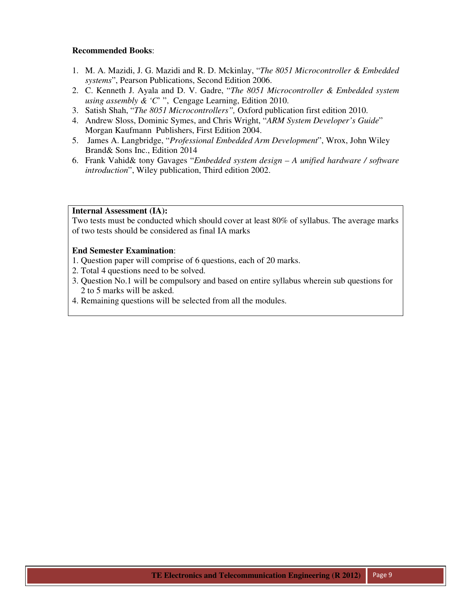- 1. M. A. Mazidi, J. G. Mazidi and R. D. Mckinlay, "*The 8051 Microcontroller & Embedded systems*", Pearson Publications, Second Edition 2006.
- 2. C. Kenneth J. Ayala and D. V. Gadre, "*The 8051 Microcontroller & Embedded system using assembly & 'C*' ", Cengage Learning, Edition 2010.
- 3. Satish Shah, "*The 8051 Microcontrollers",* Oxford publication first edition 2010.
- 4. Andrew Sloss, Dominic Symes, and Chris Wright, "*ARM System Developer's Guide*" Morgan Kaufmann Publishers, First Edition 2004.
- 5. James A. Langbridge, "*Professional Embedded Arm Development*", Wrox, John Wiley Brand& Sons Inc., Edition 2014
- 6. Frank Vahid& tony Gavages "*Embedded system design A unified hardware / software introduction*", Wiley publication, Third edition 2002.

# **Internal Assessment (IA):**

Two tests must be conducted which should cover at least 80% of syllabus. The average marks of two tests should be considered as final IA marks

- 1. Question paper will comprise of 6 questions, each of 20 marks.
- 2. Total 4 questions need to be solved.
- 3. Question No.1 will be compulsory and based on entire syllabus wherein sub questions for 2 to 5 marks will be asked.
- 4. Remaining questions will be selected from all the modules.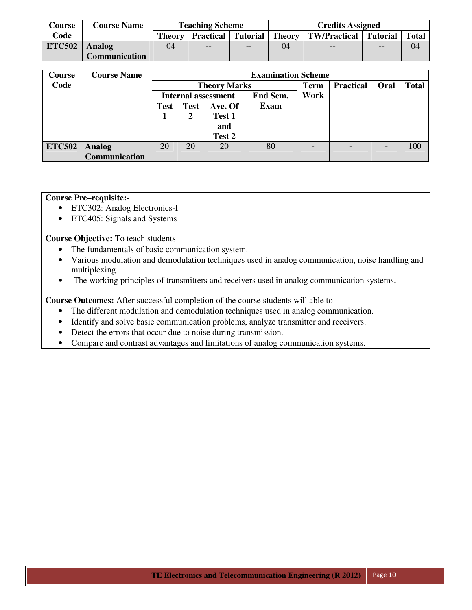| <b>Course</b> | <b>Course Name</b> |    | <b>Teaching Scheme</b>                 |     | <b>Credits Assigned</b> |                                  |     |              |  |
|---------------|--------------------|----|----------------------------------------|-----|-------------------------|----------------------------------|-----|--------------|--|
| Code          |                    |    | <b>Theory   Practical   Tutorial  </b> |     |                         | Theory   TW/Practical   Tutorial |     | <b>Total</b> |  |
| <b>ETC502</b> | <b>Analog</b>      | 04 | $- -$                                  | $-$ | 04                      | $- -$                            | $-$ | 04           |  |
|               | Communication      |    |                                        |     |                         |                                  |     |              |  |

| Course        | <b>Course Name</b>   |                                       |    |                            | <b>Examination Scheme</b> |             |                  |                          |              |
|---------------|----------------------|---------------------------------------|----|----------------------------|---------------------------|-------------|------------------|--------------------------|--------------|
| Code          |                      |                                       |    | <b>Theory Marks</b>        |                           | <b>Term</b> | <b>Practical</b> | Oral                     | <b>Total</b> |
|               |                      |                                       |    | <b>Internal assessment</b> | End Sem.                  | <b>Work</b> |                  |                          |              |
|               |                      | <b>Test</b><br>Ave. Of<br><b>Test</b> |    | Exam                       |                           |             |                  |                          |              |
|               |                      |                                       |    | Test 1                     |                           |             |                  |                          |              |
|               |                      |                                       |    | and                        |                           |             |                  |                          |              |
|               |                      |                                       |    | Test 2                     |                           |             |                  |                          |              |
| <b>ETC502</b> | <b>Analog</b>        | 20                                    | 20 | 20                         | 80                        |             |                  | $\overline{\phantom{0}}$ | 100          |
|               | <b>Communication</b> |                                       |    |                            |                           |             |                  |                          |              |

# **Course Pre–requisite:-**

- ETC302: Analog Electronics-I
- ETC405: Signals and Systems

**Course Objective:** To teach students

- The fundamentals of basic communication system.
- Various modulation and demodulation techniques used in analog communication, noise handling and multiplexing.
- The working principles of transmitters and receivers used in analog communication systems.

**Course Outcomes:** After successful completion of the course students will able to

- The different modulation and demodulation techniques used in analog communication.
- Identify and solve basic communication problems, analyze transmitter and receivers.
- Detect the errors that occur due to noise during transmission.
- Compare and contrast advantages and limitations of analog communication systems.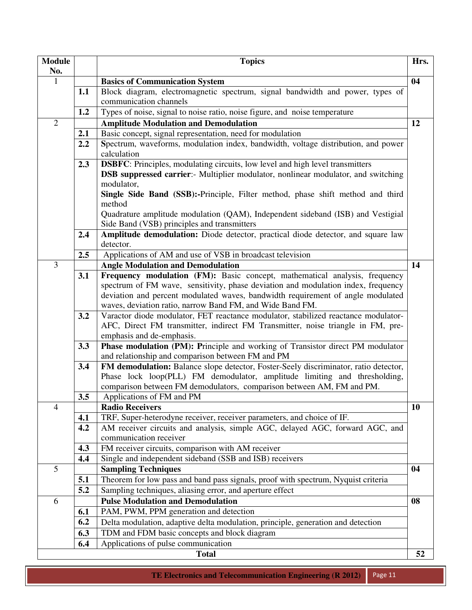| <b>Module</b>  |     | <b>Topics</b>                                                                                      | Hrs. |
|----------------|-----|----------------------------------------------------------------------------------------------------|------|
| No.            |     |                                                                                                    |      |
| $\mathbf{1}$   |     | <b>Basics of Communication System</b>                                                              | 04   |
|                | 1.1 | Block diagram, electromagnetic spectrum, signal bandwidth and power, types of                      |      |
|                |     | communication channels                                                                             |      |
|                | 1.2 | Types of noise, signal to noise ratio, noise figure, and noise temperature                         |      |
| $\overline{2}$ |     | <b>Amplitude Modulation and Demodulation</b>                                                       | 12   |
|                | 2.1 | Basic concept, signal representation, need for modulation                                          |      |
|                | 2.2 | Spectrum, waveforms, modulation index, bandwidth, voltage distribution, and power<br>calculation   |      |
|                | 2.3 | <b>DSBFC:</b> Principles, modulating circuits, low level and high level transmitters               |      |
|                |     | <b>DSB</b> suppressed carrier:- Multiplier modulator, nonlinear modulator, and switching           |      |
|                |     | modulator,                                                                                         |      |
|                |     | Single Side Band (SSB):-Principle, Filter method, phase shift method and third                     |      |
|                |     | method                                                                                             |      |
|                |     | Quadrature amplitude modulation (QAM), Independent sideband (ISB) and Vestigial                    |      |
|                |     | Side Band (VSB) principles and transmitters                                                        |      |
|                | 2.4 | Amplitude demodulation: Diode detector, practical diode detector, and square law<br>detector.      |      |
|                | 2.5 | Applications of AM and use of VSB in broadcast television                                          |      |
| 3              |     | <b>Angle Modulation and Demodulation</b>                                                           | 14   |
|                | 3.1 | Frequency modulation (FM): Basic concept, mathematical analysis, frequency                         |      |
|                |     | spectrum of FM wave, sensitivity, phase deviation and modulation index, frequency                  |      |
|                |     | deviation and percent modulated waves, bandwidth requirement of angle modulated                    |      |
|                |     | waves, deviation ratio, narrow Band FM, and Wide Band FM.                                          |      |
|                | 3.2 | Varactor diode modulator, FET reactance modulator, stabilized reactance modulator-                 |      |
|                |     | AFC, Direct FM transmitter, indirect FM Transmitter, noise triangle in FM, pre-                    |      |
|                |     | emphasis and de-emphasis.                                                                          |      |
|                | 3.3 | Phase modulation (PM): Principle and working of Transistor direct PM modulator                     |      |
|                |     | and relationship and comparison between FM and PM                                                  |      |
|                | 3.4 | FM demodulation: Balance slope detector, Foster-Seely discriminator, ratio detector,               |      |
|                |     | Phase lock loop(PLL) FM demodulator, amplitude limiting and thresholding,                          |      |
|                | 3.5 | comparison between FM demodulators, comparison between AM, FM and PM.<br>Applications of FM and PM |      |
| $\overline{4}$ |     | <b>Radio Receivers</b>                                                                             | 10   |
|                | 4.1 | TRF, Super-heterodyne receiver, receiver parameters, and choice of IF.                             |      |
|                | 4.2 | AM receiver circuits and analysis, simple AGC, delayed AGC, forward AGC, and                       |      |
|                |     | communication receiver                                                                             |      |
|                | 4.3 | FM receiver circuits, comparison with AM receiver                                                  |      |
|                | 4.4 | Single and independent sideband (SSB and ISB) receivers                                            |      |
| 5              |     | <b>Sampling Techniques</b>                                                                         | 04   |
|                | 5.1 | Theorem for low pass and band pass signals, proof with spectrum, Nyquist criteria                  |      |
|                | 5.2 | Sampling techniques, aliasing error, and aperture effect                                           |      |
| 6              |     | <b>Pulse Modulation and Demodulation</b>                                                           | 08   |
|                | 6.1 | PAM, PWM, PPM generation and detection                                                             |      |
|                | 6.2 | Delta modulation, adaptive delta modulation, principle, generation and detection                   |      |
|                | 6.3 | TDM and FDM basic concepts and block diagram                                                       |      |
|                | 6.4 | Applications of pulse communication                                                                |      |
|                |     | <b>Total</b>                                                                                       | 52   |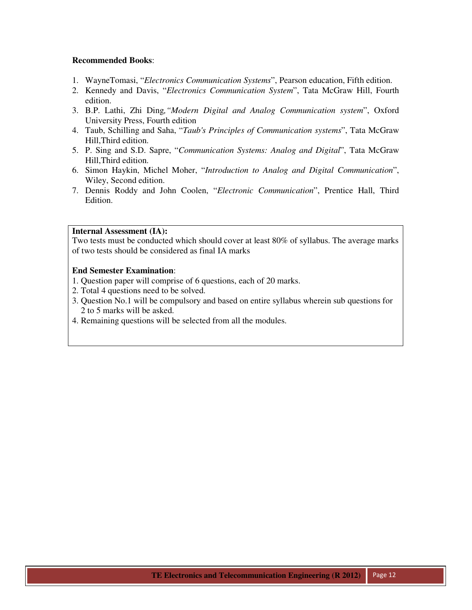- 1. WayneTomasi, "*Electronics Communication Systems*", Pearson education, Fifth edition.
- 2. Kennedy and Davis, "*Electronics Communication System*", Tata McGraw Hill, Fourth edition.
- 3. B.P. Lathi, Zhi Ding*,"Modern Digital and Analog Communication system*", Oxford University Press, Fourth edition
- 4. Taub, Schilling and Saha, "*Taub's Principles of Communication systems*", Tata McGraw Hill,Third edition.
- 5. P. Sing and S.D. Sapre, "*Communication Systems: Analog and Digital*", Tata McGraw Hill,Third edition.
- 6. Simon Haykin, Michel Moher, "*Introduction to Analog and Digital Communication*", Wiley, Second edition.
- 7. Dennis Roddy and John Coolen, "*Electronic Communication*", Prentice Hall, Third Edition.

## **Internal Assessment (IA):**

Two tests must be conducted which should cover at least 80% of syllabus. The average marks of two tests should be considered as final IA marks

- 1. Question paper will comprise of 6 questions, each of 20 marks.
- 2. Total 4 questions need to be solved.
- 3. Question No.1 will be compulsory and based on entire syllabus wherein sub questions for 2 to 5 marks will be asked.
- 4. Remaining questions will be selected from all the modules.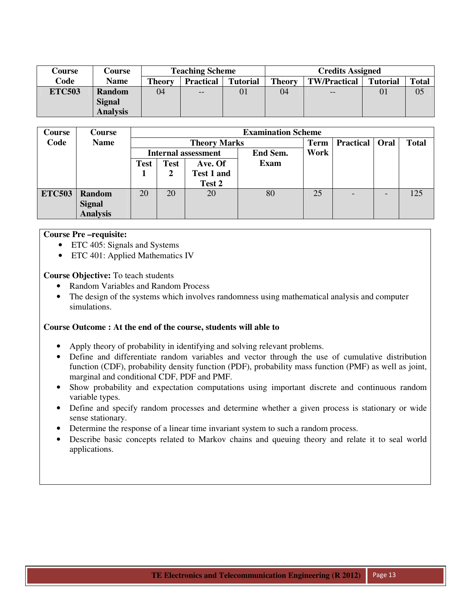| Course        | Course          |               | <b>Teaching Scheme</b> |                 | <b>Credits Assigned</b> |                     |                 |              |  |  |
|---------------|-----------------|---------------|------------------------|-----------------|-------------------------|---------------------|-----------------|--------------|--|--|
| Code          | <b>Name</b>     | <b>Theory</b> | <b>Practical</b>       | <b>Tutorial</b> | <b>Theory</b>           | <b>TW/Practical</b> | <b>Tutorial</b> | <b>Total</b> |  |  |
| <b>ETC503</b> | <b>Random</b>   | 04            | $- -$                  | 01              | 04                      | $- -$               | 01              | 05           |  |  |
|               | <b>Signal</b>   |               |                        |                 |                         |                     |                 |              |  |  |
|               | <b>Analysis</b> |               |                        |                 |                         |                     |                 |              |  |  |

| Course        | Course          |                                       |    |                            | <b>Examination Scheme</b> |             |                  |      |              |
|---------------|-----------------|---------------------------------------|----|----------------------------|---------------------------|-------------|------------------|------|--------------|
| Code          | <b>Name</b>     |                                       |    | <b>Theory Marks</b>        |                           | <b>Term</b> | <b>Practical</b> | Oral | <b>Total</b> |
|               |                 |                                       |    | <b>Internal assessment</b> | End Sem.                  | Work        |                  |      |              |
|               |                 | <b>Test</b><br><b>Test</b><br>Ave. Of |    |                            | <b>Exam</b>               |             |                  |      |              |
|               |                 |                                       |    | Test 1 and                 |                           |             |                  |      |              |
|               |                 |                                       |    | Test 2                     |                           |             |                  |      |              |
| <b>ETC503</b> | <b>Random</b>   | 20                                    | 20 | 20                         | 80                        | 25          |                  |      | 125          |
|               | <b>Signal</b>   |                                       |    |                            |                           |             |                  |      |              |
|               | <b>Analysis</b> |                                       |    |                            |                           |             |                  |      |              |

#### **Course Pre –requisite:**

- ETC 405: Signals and Systems
- ETC 401: Applied Mathematics IV

**Course Objective:** To teach students

- Random Variables and Random Process
- The design of the systems which involves randomness using mathematical analysis and computer simulations.

#### **Course Outcome : At the end of the course, students will able to**

- Apply theory of probability in identifying and solving relevant problems.
- Define and differentiate random variables and vector through the use of cumulative distribution function (CDF), probability density function (PDF), probability mass function (PMF) as well as joint, marginal and conditional CDF, PDF and PMF.
- Show probability and expectation computations using important discrete and continuous random variable types.
- Define and specify random processes and determine whether a given process is stationary or wide sense stationary.
- Determine the response of a linear time invariant system to such a random process.
- Describe basic concepts related to Markov chains and queuing theory and relate it to seal world applications.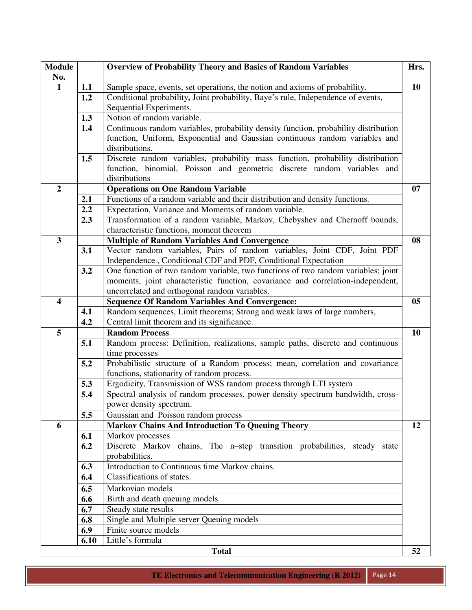| <b>Module</b><br>No.    |                  | <b>Overview of Probability Theory and Basics of Random Variables</b>                           | Hrs. |
|-------------------------|------------------|------------------------------------------------------------------------------------------------|------|
| $\mathbf{1}$            | 1.1              | Sample space, events, set operations, the notion and axioms of probability.                    | 10   |
|                         | 1.2              | Conditional probability, Joint probability, Baye's rule, Independence of events,               |      |
|                         |                  | Sequential Experiments.                                                                        |      |
|                         | 1.3              | Notion of random variable.                                                                     |      |
|                         | 1.4              | Continuous random variables, probability density function, probability distribution            |      |
|                         |                  | function, Uniform, Exponential and Gaussian continuous random variables and                    |      |
|                         |                  | distributions.                                                                                 |      |
|                         | 1.5              | Discrete random variables, probability mass function, probability distribution                 |      |
|                         |                  | function, binomial, Poisson and geometric discrete random variables and                        |      |
|                         |                  | distributions                                                                                  |      |
| $\overline{2}$          |                  | <b>Operations on One Random Variable</b>                                                       | 07   |
|                         | 2.1              | Functions of a random variable and their distribution and density functions.                   |      |
|                         | $2.2\phantom{0}$ | Expectation, Variance and Moments of random variable.                                          |      |
|                         | 2.3              | Transformation of a random variable, Markov, Chebyshev and Chernoff bounds,                    |      |
|                         |                  | characteristic functions, moment theorem                                                       |      |
| $\overline{\mathbf{3}}$ |                  | <b>Multiple of Random Variables And Convergence</b>                                            | 08   |
|                         | 3.1              | Vector random variables, Pairs of random variables, Joint CDF, Joint PDF                       |      |
|                         |                  | Independence, Conditional CDF and PDF, Conditional Expectation                                 |      |
|                         | 3.2              | One function of two random variable, two functions of two random variables; joint              |      |
|                         |                  | moments, joint characteristic function, covariance and correlation-independent,                |      |
|                         |                  | uncorrelated and orthogonal random variables.                                                  |      |
| $\overline{\mathbf{4}}$ |                  | <b>Sequence Of Random Variables And Convergence:</b>                                           | 05   |
|                         | 4.1              | Random sequences, Limit theorems; Strong and weak laws of large numbers,                       |      |
|                         | 4.2              | Central limit theorem and its significance.                                                    |      |
| 5                       |                  | <b>Random Process</b>                                                                          | 10   |
|                         | 5.1              | Random process: Definition, realizations, sample paths, discrete and continuous                |      |
|                         |                  | time processes                                                                                 |      |
|                         | 5.2              | Probabilistic structure of a Random process; mean, correlation and covariance                  |      |
|                         |                  | functions, stationarity of random process.                                                     |      |
|                         | 5.3              | Ergodicity, Transmission of WSS random process through LTI system                              |      |
|                         | 5.4              | Spectral analysis of random processes, power density spectrum bandwidth, cross-                |      |
|                         | 5.5              | power density spectrum.                                                                        |      |
| 6                       |                  | Gaussian and Poisson random process<br><b>Markov Chains And Introduction To Queuing Theory</b> | 12   |
|                         | 6.1              | Markov processes                                                                               |      |
|                         | 6.2              | Discrete Markov chains, The n-step transition probabilities, steady state                      |      |
|                         |                  | probabilities.                                                                                 |      |
|                         | 6.3              | Introduction to Continuous time Markov chains.                                                 |      |
|                         | 6.4              | Classifications of states.                                                                     |      |
|                         | 6.5              | Markovian models                                                                               |      |
|                         | 6.6              | Birth and death queuing models                                                                 |      |
|                         | 6.7              | Steady state results                                                                           |      |
|                         | 6.8              | Single and Multiple server Queuing models                                                      |      |
|                         | 6.9              | Finite source models                                                                           |      |
|                         | 6.10             | Little's formula                                                                               |      |
|                         |                  | <b>Total</b>                                                                                   | 52   |
|                         |                  |                                                                                                |      |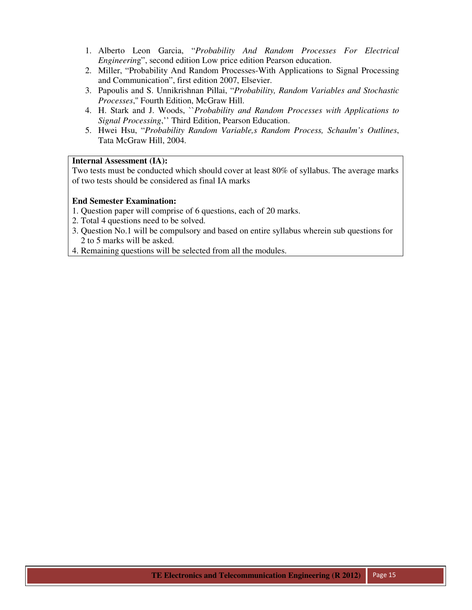- 1. Alberto Leon Garcia, "*Probability And Random Processes For Electrical Engineerin*g", second edition Low price edition Pearson education.
- 2. Miller, "Probability And Random Processes-With Applications to Signal Processing and Communication", first edition 2007, Elsevier.
- 3. Papoulis and S. Unnikrishnan Pillai, "*Probability, Random Variables and Stochastic Processes*,'' Fourth Edition, McGraw Hill.
- 4. H. Stark and J. Woods, ``*Probability and Random Processes with Applications to Signal Processing*,'' Third Edition, Pearson Education.
- 5. Hwei Hsu, "*Probability Random Variable,s Random Process, Schaulm's Outlines*, Tata McGraw Hill, 2004.

# **Internal Assessment (IA):**

Two tests must be conducted which should cover at least 80% of syllabus. The average marks of two tests should be considered as final IA marks

- 1. Question paper will comprise of 6 questions, each of 20 marks.
- 2. Total 4 questions need to be solved.
- 3. Question No.1 will be compulsory and based on entire syllabus wherein sub questions for 2 to 5 marks will be asked.
- 4. Remaining questions will be selected from all the modules.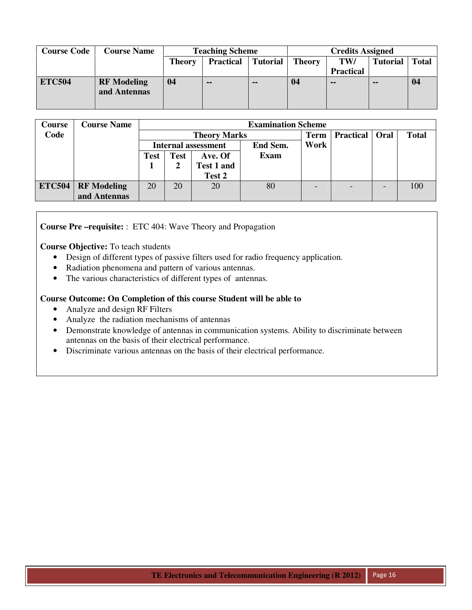| <b>Course Code</b> | <b>Course Name</b>                 | <b>Teaching Scheme</b>                               |               |     | <b>Credits Assigned</b> |                  |                 |              |  |
|--------------------|------------------------------------|------------------------------------------------------|---------------|-----|-------------------------|------------------|-----------------|--------------|--|
|                    |                                    | <b>Practical</b><br><b>Tutorial</b><br><b>Theory</b> |               |     | <b>Theory</b>           | TW/              | <b>Tutorial</b> | <b>Total</b> |  |
|                    |                                    |                                                      |               |     |                         | <b>Practical</b> |                 |              |  |
| <b>ETC504</b>      | <b>RF</b> Modeling<br>and Antennas | 04                                                   | $\sim$ $\sim$ | $-$ | 04                      | --               | --              | 04           |  |

| <b>Course</b> | <b>Course Name</b>     |                            | <b>Examination Scheme</b> |                     |             |                          |                  |  |              |  |  |  |  |
|---------------|------------------------|----------------------------|---------------------------|---------------------|-------------|--------------------------|------------------|--|--------------|--|--|--|--|
| Code          |                        |                            |                           | <b>Theory Marks</b> |             | <b>Term</b>              | Practical   Oral |  | <b>Total</b> |  |  |  |  |
|               |                        | <b>Internal assessment</b> |                           |                     | End Sem.    | Work                     |                  |  |              |  |  |  |  |
|               |                        | <b>Test</b>                | <b>Test</b>               | Ave. Of             | <b>Exam</b> |                          |                  |  |              |  |  |  |  |
|               |                        |                            |                           | Test 1 and          |             |                          |                  |  |              |  |  |  |  |
|               |                        |                            |                           | Test 2              |             |                          |                  |  |              |  |  |  |  |
|               | $ETC504   RF$ Modeling | 20                         | 20                        | 20                  | 80          | $\overline{\phantom{0}}$ |                  |  | 100          |  |  |  |  |
|               | and Antennas           |                            |                           |                     |             |                          |                  |  |              |  |  |  |  |

**Course Pre –requisite:** : ETC 404: Wave Theory and Propagation

**Course Objective:** To teach students

- Design of different types of passive filters used for radio frequency application.
- Radiation phenomena and pattern of various antennas.
- The various characteristics of different types of antennas.

# **Course Outcome: On Completion of this course Student will be able to**

- Analyze and design RF Filters
- Analyze the radiation mechanisms of antennas
- Demonstrate knowledge of antennas in communication systems. Ability to discriminate between antennas on the basis of their electrical performance.
- Discriminate various antennas on the basis of their electrical performance.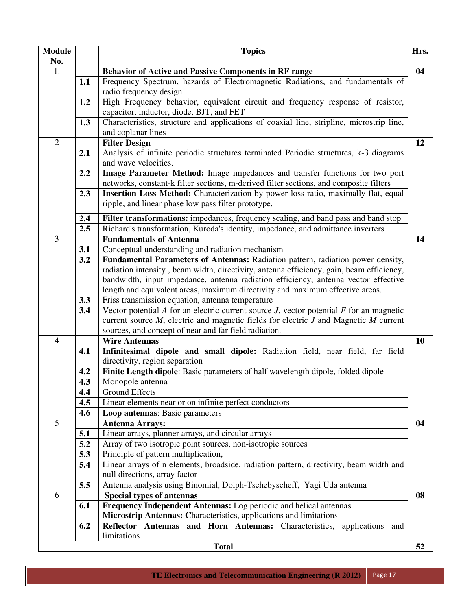| <b>Module</b>  |     | <b>Topics</b>                                                                                                     | Hrs. |
|----------------|-----|-------------------------------------------------------------------------------------------------------------------|------|
| No.            |     |                                                                                                                   |      |
| 1.             |     | <b>Behavior of Active and Passive Components in RF range</b>                                                      | 04   |
|                | 1.1 | Frequency Spectrum, hazards of Electromagnetic Radiations, and fundamentals of<br>radio frequency design          |      |
|                | 1.2 | High Frequency behavior, equivalent circuit and frequency response of resistor,                                   |      |
|                |     | capacitor, inductor, diode, BJT, and FET                                                                          |      |
|                | 1.3 | Characteristics, structure and applications of coaxial line, stripline, microstrip line,                          |      |
|                |     | and coplanar lines                                                                                                |      |
| $\overline{2}$ |     | <b>Filter Design</b>                                                                                              | 12   |
|                | 2.1 | Analysis of infinite periodic structures terminated Periodic structures, k- $\beta$ diagrams                      |      |
|                |     | and wave velocities.                                                                                              |      |
|                | 2.2 | Image Parameter Method: Image impedances and transfer functions for two port                                      |      |
|                |     | networks, constant-k filter sections, m-derived filter sections, and composite filters                            |      |
|                | 2.3 | Insertion Loss Method: Characterization by power loss ratio, maximally flat, equal                                |      |
|                |     | ripple, and linear phase low pass filter prototype.                                                               |      |
|                | 2.4 | Filter transformations: impedances, frequency scaling, and band pass and band stop                                |      |
|                | 2.5 | Richard's transformation, Kuroda's identity, impedance, and admittance inverters                                  |      |
| 3              |     | <b>Fundamentals of Antenna</b>                                                                                    | 14   |
|                | 3.1 | Conceptual understanding and radiation mechanism                                                                  |      |
|                | 3.2 | Fundamental Parameters of Antennas: Radiation pattern, radiation power density,                                   |      |
|                |     | radiation intensity, beam width, directivity, antenna efficiency, gain, beam efficiency,                          |      |
|                |     | bandwidth, input impedance, antenna radiation efficiency, antenna vector effective                                |      |
|                |     | length and equivalent areas, maximum directivity and maximum effective areas.                                     |      |
|                | 3.3 | Friss transmission equation, antenna temperature                                                                  |      |
|                | 3.4 | Vector potential $A$ for an electric current source $J$ , vector potential $F$ for an magnetic                    |      |
|                |     | current source $M$ , electric and magnetic fields for electric $J$ and Magnetic $M$ current                       |      |
|                |     | sources, and concept of near and far field radiation.                                                             |      |
| $\overline{4}$ |     | <b>Wire Antennas</b>                                                                                              | 10   |
|                | 4.1 | Infinitesimal dipole and small dipole: Radiation field, near field, far field                                     |      |
|                | 4.2 | directivity, region separation<br>Finite Length dipole: Basic parameters of half wavelength dipole, folded dipole |      |
|                | 4.3 | Monopole antenna                                                                                                  |      |
|                | 4.4 | Ground Effects                                                                                                    |      |
|                | 4.5 | Linear elements near or on infinite perfect conductors                                                            |      |
|                | 4.6 | Loop antennas: Basic parameters                                                                                   |      |
| 5              |     | <b>Antenna Arrays:</b>                                                                                            | 04   |
|                | 5.1 | Linear arrays, planner arrays, and circular arrays                                                                |      |
|                | 5.2 | Array of two isotropic point sources, non-isotropic sources                                                       |      |
|                | 5.3 | Principle of pattern multiplication,                                                                              |      |
|                | 5.4 | Linear arrays of n elements, broadside, radiation pattern, directivity, beam width and                            |      |
|                |     | null directions, array factor                                                                                     |      |
|                | 5.5 | Antenna analysis using Binomial, Dolph-Tschebyscheff, Yagi Uda antenna                                            |      |
| 6              |     | <b>Special types of antennas</b>                                                                                  | 08   |
|                | 6.1 | Frequency Independent Antennas: Log periodic and helical antennas                                                 |      |
|                |     | Microstrip Antennas: Characteristics, applications and limitations                                                |      |
|                | 6.2 | Reflector Antennas and Horn Antennas: Characteristics,<br>applications and                                        |      |
|                |     | limitations                                                                                                       |      |
|                |     | <b>Total</b>                                                                                                      | 52   |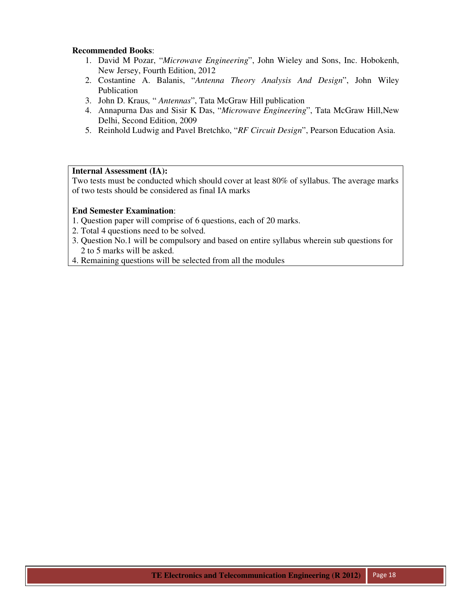- 1. David M Pozar, "*Microwave Engineering*", John Wieley and Sons, Inc. Hobokenh, New Jersey, Fourth Edition, 2012
- 2. Costantine A. Balanis, "*Antenna Theory Analysis And Design*", John Wiley Publication
- 3. John D. Kraus*,* " *Antennas*", Tata McGraw Hill publication
- 4. Annapurna Das and Sisir K Das, "*Microwave Engineering*", Tata McGraw Hill,New Delhi, Second Edition, 2009
- 5. Reinhold Ludwig and Pavel Bretchko, "*RF Circuit Design*", Pearson Education Asia.

# **Internal Assessment (IA):**

Two tests must be conducted which should cover at least 80% of syllabus. The average marks of two tests should be considered as final IA marks

- 1. Question paper will comprise of 6 questions, each of 20 marks.
- 2. Total 4 questions need to be solved.
- 3. Question No.1 will be compulsory and based on entire syllabus wherein sub questions for 2 to 5 marks will be asked.
- 4. Remaining questions will be selected from all the modules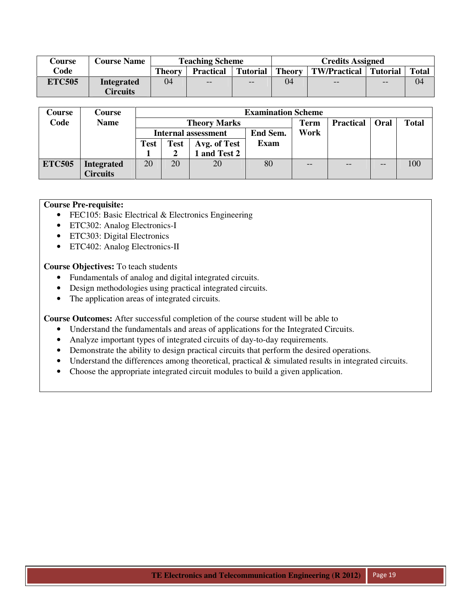| Course        | <b>Course Name</b> |               | <b>Teaching Scheme</b> |          | <b>Credits Assigned</b> |                         |       |              |  |
|---------------|--------------------|---------------|------------------------|----------|-------------------------|-------------------------|-------|--------------|--|
| Code          |                    | <b>Theory</b> | <b>Practical</b>       | Tutorial | <b>Theory</b>           | TW/Practical   Tutorial |       | <b>Total</b> |  |
| <b>ETC505</b> | <b>Integrated</b>  | 04            | $- -$                  | $- -$    | 04                      | $- -$                   | $- -$ | 04           |  |
|               | <b>Circuits</b>    |               |                        |          |                         |                         |       |              |  |

| Course        | <b>Course</b>     |             | <b>Examination Scheme</b> |                                 |             |       |                  |      |              |  |  |
|---------------|-------------------|-------------|---------------------------|---------------------------------|-------------|-------|------------------|------|--------------|--|--|
| Code          | <b>Name</b>       |             |                           | <b>Theory Marks</b>             |             | Term  | <b>Practical</b> | Oral | <b>Total</b> |  |  |
|               |                   |             |                           | End Sem.<br>Internal assessment |             |       |                  |      |              |  |  |
|               |                   | <b>Test</b> | <b>Test</b>               | Avg. of Test                    | <b>Exam</b> |       |                  |      |              |  |  |
|               |                   |             |                           | and Test 2                      |             |       |                  |      |              |  |  |
| <b>ETC505</b> | <b>Integrated</b> | 20          | 20                        | 20                              | 80          | $- -$ |                  | --   | 100          |  |  |
|               | <b>Circuits</b>   |             |                           |                                 |             |       |                  |      |              |  |  |

#### **Course Pre-requisite:**

- FEC105: Basic Electrical & Electronics Engineering
- ETC302: Analog Electronics-I
- ETC303: Digital Electronics
- ETC402: Analog Electronics-II

**Course Objectives:** To teach students

- Fundamentals of analog and digital integrated circuits.
- Design methodologies using practical integrated circuits.
- The application areas of integrated circuits.

**Course Outcomes:** After successful completion of the course student will be able to

- Understand the fundamentals and areas of applications for the Integrated Circuits.
- Analyze important types of integrated circuits of day-to-day requirements.
- Demonstrate the ability to design practical circuits that perform the desired operations.
- Understand the differences among theoretical, practical  $\&$  simulated results in integrated circuits.
- Choose the appropriate integrated circuit modules to build a given application.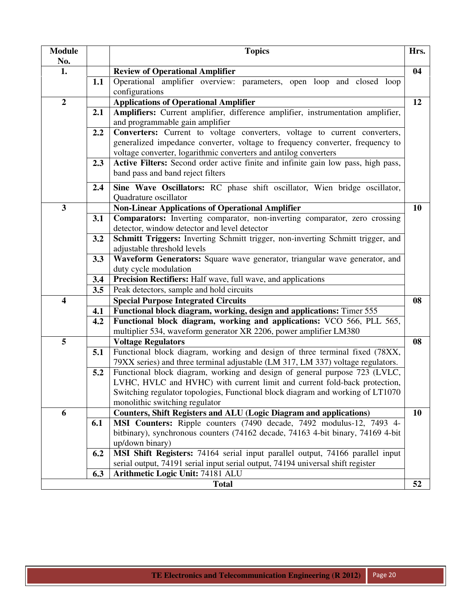| <b>Module</b>           |     | <b>Topics</b>                                                                                                                                                                                                                                                               | Hrs. |
|-------------------------|-----|-----------------------------------------------------------------------------------------------------------------------------------------------------------------------------------------------------------------------------------------------------------------------------|------|
| No.<br>1.               |     | <b>Review of Operational Amplifier</b>                                                                                                                                                                                                                                      | 04   |
|                         | 1.1 | Operational amplifier overview: parameters, open loop and closed loop<br>configurations                                                                                                                                                                                     |      |
| $\overline{2}$          |     | <b>Applications of Operational Amplifier</b>                                                                                                                                                                                                                                | 12   |
|                         | 2.1 | Amplifiers: Current amplifier, difference amplifier, instrumentation amplifier,<br>and programmable gain amplifier                                                                                                                                                          |      |
|                         | 2.2 | Converters: Current to voltage converters, voltage to current converters,<br>generalized impedance converter, voltage to frequency converter, frequency to<br>voltage converter, logarithmic converters and antilog converters                                              |      |
|                         | 2.3 | Active Filters: Second order active finite and infinite gain low pass, high pass,<br>band pass and band reject filters                                                                                                                                                      |      |
|                         | 2.4 | Sine Wave Oscillators: RC phase shift oscillator, Wien bridge oscillator,<br>Quadrature oscillator                                                                                                                                                                          |      |
| 3                       |     | <b>Non-Linear Applications of Operational Amplifier</b>                                                                                                                                                                                                                     | 10   |
|                         | 3.1 | Comparators: Inverting comparator, non-inverting comparator, zero crossing<br>detector, window detector and level detector                                                                                                                                                  |      |
|                         | 3.2 | Schmitt Triggers: Inverting Schmitt trigger, non-inverting Schmitt trigger, and<br>adjustable threshold levels                                                                                                                                                              |      |
|                         | 3.3 | Waveform Generators: Square wave generator, triangular wave generator, and<br>duty cycle modulation                                                                                                                                                                         |      |
|                         | 3.4 | Precision Rectifiers: Half wave, full wave, and applications                                                                                                                                                                                                                |      |
|                         | 3.5 | Peak detectors, sample and hold circuits                                                                                                                                                                                                                                    |      |
| $\overline{\mathbf{4}}$ |     | <b>Special Purpose Integrated Circuits</b>                                                                                                                                                                                                                                  | 08   |
|                         | 4.1 | Functional block diagram, working, design and applications: Timer 555                                                                                                                                                                                                       |      |
|                         | 4.2 | Functional block diagram, working and applications: VCO 566, PLL 565,                                                                                                                                                                                                       |      |
|                         |     | multiplier 534, waveform generator XR 2206, power amplifier LM380                                                                                                                                                                                                           |      |
| 5                       | 5.1 | <b>Voltage Regulators</b><br>Functional block diagram, working and design of three terminal fixed (78XX,<br>79XX series) and three terminal adjustable (LM 317, LM 337) voltage regulators.                                                                                 | 08   |
|                         | 5.2 | Functional block diagram, working and design of general purpose 723 (LVLC,<br>LVHC, HVLC and HVHC) with current limit and current fold-back protection,<br>Switching regulator topologies, Functional block diagram and working of LT1070<br>monolithic switching regulator |      |
| 6                       |     | <b>Counters, Shift Registers and ALU (Logic Diagram and applications)</b>                                                                                                                                                                                                   | 10   |
|                         | 6.1 | MSI Counters: Ripple counters (7490 decade, 7492 modulus-12, 7493 4-<br>bitbinary), synchronous counters (74162 decade, 74163 4-bit binary, 74169 4-bit<br>up/down binary)                                                                                                  |      |
|                         | 6.2 | MSI Shift Registers: 74164 serial input parallel output, 74166 parallel input<br>serial output, 74191 serial input serial output, 74194 universal shift register                                                                                                            |      |
|                         | 6.3 | Arithmetic Logic Unit: 74181 ALU                                                                                                                                                                                                                                            |      |
|                         |     | <b>Total</b>                                                                                                                                                                                                                                                                | 52   |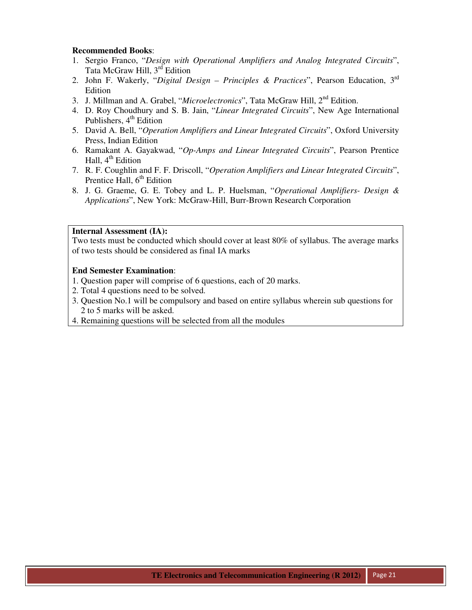- 1. Sergio Franco, "*Design with Operational Amplifiers and Analog Integrated Circuits*", Tata McGraw Hill, 3<sup>rd</sup> Edition
- 2. John F. Wakerly, "*Digital Design Principles & Practices*", Pearson Education, 3rd Edition
- 3. J. Millman and A. Grabel, "*Microelectronics*", Tata McGraw Hill, 2nd Edition.
- 4. D. Roy Choudhury and S. B. Jain, "*Linear Integrated Circuits*", New Age International Publishers,  $4<sup>th</sup>$  Edition
- 5. David A. Bell, "*Operation Amplifiers and Linear Integrated Circuits*", Oxford University Press, Indian Edition
- 6. Ramakant A. Gayakwad, "*Op-Amps and Linear Integrated Circuits*", Pearson Prentice Hall,  $4<sup>th</sup>$  Edition
- 7. R. F. Coughlin and F. F. Driscoll, "*Operation Amplifiers and Linear Integrated Circuits*", Prentice Hall,  $6<sup>th</sup>$  Edition
- 8. J. G. Graeme, G. E. Tobey and L. P. Huelsman, "*Operational Amplifiers- Design & Applications*", New York: McGraw-Hill, Burr-Brown Research Corporation

## **Internal Assessment (IA):**

Two tests must be conducted which should cover at least 80% of syllabus. The average marks of two tests should be considered as final IA marks

- 1. Question paper will comprise of 6 questions, each of 20 marks.
- 2. Total 4 questions need to be solved.
- 3. Question No.1 will be compulsory and based on entire syllabus wherein sub questions for 2 to 5 marks will be asked.
- 4. Remaining questions will be selected from all the modules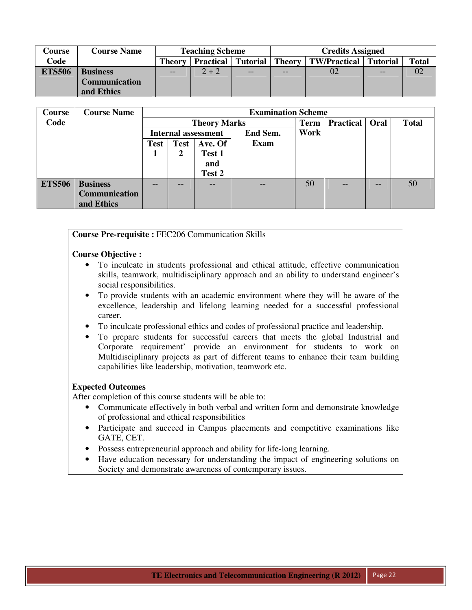| Course        | <b>Course Name</b>   |               | <b>Teaching Scheme</b>        |    | <b>Credits Assigned</b>          |    |    |    |  |  |
|---------------|----------------------|---------------|-------------------------------|----|----------------------------------|----|----|----|--|--|
| Code          |                      | <b>Theory</b> | <b>Practical   Tutorial  </b> |    | Theory   TW/Practical   Tutorial |    |    |    |  |  |
| <b>ETS506</b> | <b>Business</b>      | $-$           | $2 + 2$                       | -- | $-$                              | 02 | -- | 02 |  |  |
|               | <b>Communication</b> |               |                               |    |                                  |    |    |    |  |  |
|               | and Ethics           |               |                               |    |                                  |    |    |    |  |  |

| Course        | <b>Course Name</b>   |             |             |                     | <b>Examination Scheme</b> |      |                  |       |              |
|---------------|----------------------|-------------|-------------|---------------------|---------------------------|------|------------------|-------|--------------|
| Code          |                      |             |             | <b>Theory Marks</b> |                           | Term | <b>Practical</b> | Oral  | <b>Total</b> |
|               |                      |             |             | Internal assessment | End Sem.                  | Work |                  |       |              |
|               |                      | <b>Test</b> | <b>Test</b> | Ave. Of             | Exam                      |      |                  |       |              |
|               |                      |             | 2           | Test 1              |                           |      |                  |       |              |
|               |                      |             |             | and                 |                           |      |                  |       |              |
|               |                      |             |             | Test 2              |                           |      |                  |       |              |
| <b>ETS506</b> | <b>Business</b>      | --          | --          |                     | $- -$                     | 50   | --               | $- -$ | 50           |
|               | <b>Communication</b> |             |             |                     |                           |      |                  |       |              |
|               | and Ethics           |             |             |                     |                           |      |                  |       |              |

**Course Pre-requisite :** FEC206 Communication Skills

#### **Course Objective :**

- To inculcate in students professional and ethical attitude, effective communication skills, teamwork, multidisciplinary approach and an ability to understand engineer's social responsibilities.
- To provide students with an academic environment where they will be aware of the excellence, leadership and lifelong learning needed for a successful professional career.
- To inculcate professional ethics and codes of professional practice and leadership.
- To prepare students for successful careers that meets the global Industrial and Corporate requirement' provide an environment for students to work on Multidisciplinary projects as part of different teams to enhance their team building capabilities like leadership, motivation, teamwork etc.

# **Expected Outcomes**

After completion of this course students will be able to:

- Communicate effectively in both verbal and written form and demonstrate knowledge of professional and ethical responsibilities
- Participate and succeed in Campus placements and competitive examinations like GATE, CET.
- Possess entrepreneurial approach and ability for life-long learning.
- Have education necessary for understanding the impact of engineering solutions on Society and demonstrate awareness of contemporary issues.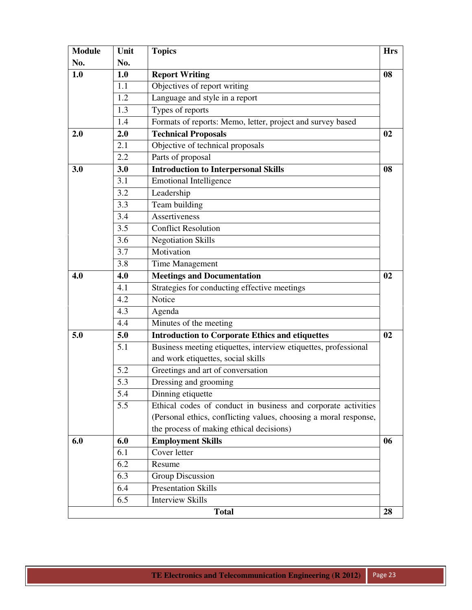| <b>Module</b> | Unit             | <b>Topics</b>                                                    | <b>Hrs</b> |
|---------------|------------------|------------------------------------------------------------------|------------|
| No.           | No.              |                                                                  |            |
| 1.0           | 1.0              | <b>Report Writing</b>                                            | 08         |
|               | 1.1              | Objectives of report writing                                     |            |
|               | 1.2              | Language and style in a report                                   |            |
|               | 1.3              | Types of reports                                                 |            |
|               | 1.4              | Formats of reports: Memo, letter, project and survey based       |            |
| 2.0           | 2.0              | <b>Technical Proposals</b>                                       | 02         |
|               | 2.1              | Objective of technical proposals                                 |            |
|               | 2.2              | Parts of proposal                                                |            |
| 3.0           | 3.0              | <b>Introduction to Interpersonal Skills</b>                      | 08         |
|               | 3.1              | Emotional Intelligence                                           |            |
|               | 3.2              | Leadership                                                       |            |
|               | 3.3              | Team building                                                    |            |
|               | 3.4              | Assertiveness                                                    |            |
|               | $\overline{3.5}$ | <b>Conflict Resolution</b>                                       |            |
|               | 3.6              | <b>Negotiation Skills</b>                                        |            |
|               | 3.7              | Motivation                                                       |            |
|               | 3.8              | <b>Time Management</b>                                           |            |
| 4.0           | 4.0              | <b>Meetings and Documentation</b>                                | 02         |
|               | 4.1              | Strategies for conducting effective meetings                     |            |
|               | 4.2              | Notice                                                           |            |
|               | 4.3              | Agenda                                                           |            |
|               | 4.4              | Minutes of the meeting                                           |            |
| 5.0           | 5.0              | <b>Introduction to Corporate Ethics and etiquettes</b>           | 02         |
|               | 5.1              | Business meeting etiquettes, interview etiquettes, professional  |            |
|               |                  | and work etiquettes, social skills                               |            |
|               | 5.2              | Greetings and art of conversation                                |            |
|               | 5.3              | Dressing and grooming                                            |            |
|               | 5.4              | Dinning etiquette                                                |            |
|               | 5.5              | Ethical codes of conduct in business and corporate activities    |            |
|               |                  | (Personal ethics, conflicting values, choosing a moral response, |            |
|               |                  | the process of making ethical decisions)                         |            |
| 6.0           | 6.0              | <b>Employment Skills</b>                                         | 06         |
|               | 6.1              | Cover letter                                                     |            |
|               | 6.2              | Resume                                                           |            |
|               | 6.3              | <b>Group Discussion</b>                                          |            |
|               | 6.4              | <b>Presentation Skills</b>                                       |            |
|               | 6.5              | Interview Skills                                                 |            |
|               |                  | <b>Total</b>                                                     | 28         |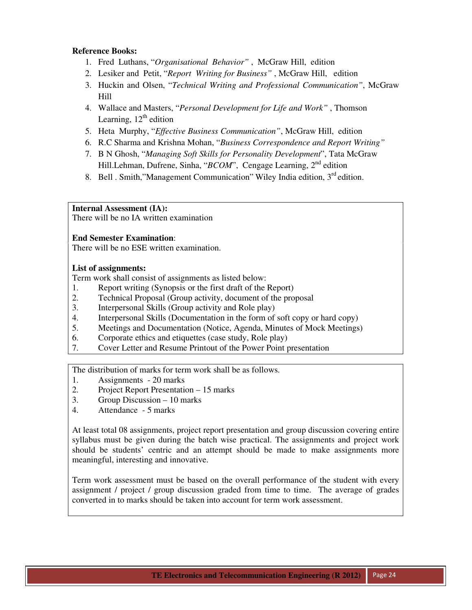# **Reference Books:**

- 1. Fred Luthans, "*Organisational Behavior"* , McGraw Hill, edition
- 2. Lesiker and Petit, "*Report Writing for Business"* , McGraw Hill, edition
- 3. Huckin and Olsen, "*Technical Writing and Professional Communication"*, McGraw Hill
- 4. Wallace and Masters, "*Personal Development for Life and Work"* , Thomson Learning,  $12<sup>th</sup>$  edition
- 5. Heta Murphy, "*Effective Business Communication"*, McGraw Hill, edition
- 6. R.C Sharma and Krishna Mohan, "*Business Correspondence and Report Writing"*
- 7. B N Ghosh, "*Managing Soft Skills for Personality Development*", Tata McGraw Hill.Lehman, Dufrene, Sinha, "*BCOM*", Cengage Learning, 2<sup>nd</sup> edition
- 8. Bell . Smith,"Management Communication" Wiley India edition,  $3<sup>rd</sup>$  edition.

# **Internal Assessment (IA):**

There will be no IA written examination

# **End Semester Examination**:

There will be no ESE written examination.

# **List of assignments:**

Term work shall consist of assignments as listed below:

- 1. Report writing (Synopsis or the first draft of the Report)
- 2. Technical Proposal (Group activity, document of the proposal
- 3. Interpersonal Skills (Group activity and Role play)
- 4. Interpersonal Skills (Documentation in the form of soft copy or hard copy)
- 5. Meetings and Documentation (Notice, Agenda, Minutes of Mock Meetings)
- 6. Corporate ethics and etiquettes (case study, Role play)
- 7. Cover Letter and Resume Printout of the Power Point presentation

The distribution of marks for term work shall be as follows.

- 1. Assignments 20 marks
- 2. Project Report Presentation 15 marks
- 3. Group Discussion 10 marks
- 4. Attendance 5 marks

At least total 08 assignments, project report presentation and group discussion covering entire syllabus must be given during the batch wise practical. The assignments and project work should be students' centric and an attempt should be made to make assignments more meaningful, interesting and innovative.

Term work assessment must be based on the overall performance of the student with every assignment / project / group discussion graded from time to time. The average of grades converted in to marks should be taken into account for term work assessment.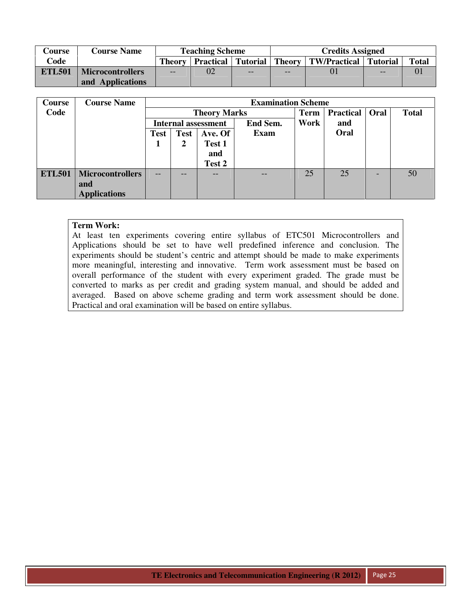| Course        | <b>Course Name</b>      |       | <b>Teaching Scheme</b> |     | <b>Credits Assigned</b> |                                                                  |      |              |  |
|---------------|-------------------------|-------|------------------------|-----|-------------------------|------------------------------------------------------------------|------|--------------|--|
| Code          |                         |       |                        |     |                         | Theory   Practical   Tutorial   Theory   TW/Practical   Tutorial |      | <b>Total</b> |  |
| <b>ETL501</b> | <b>Microcontrollers</b> | $- -$ | 02                     | $-$ | $ -$                    |                                                                  | $ -$ |              |  |
|               | and Applications        |       |                        |     |                         |                                                                  |      |              |  |

| Course        | <b>Course Name</b>      |                            | <b>Examination Scheme</b> |                     |          |             |                  |      |              |  |  |
|---------------|-------------------------|----------------------------|---------------------------|---------------------|----------|-------------|------------------|------|--------------|--|--|
| Code          |                         |                            |                           | <b>Theory Marks</b> |          | <b>Term</b> | <b>Practical</b> | Oral | <b>Total</b> |  |  |
|               |                         | <b>Internal assessment</b> |                           |                     | End Sem. | Work        | and              |      |              |  |  |
|               |                         | Test                       | Test                      | Ave. Of             | Exam     |             | Oral             |      |              |  |  |
|               |                         |                            | 2                         | Test 1              |          |             |                  |      |              |  |  |
|               |                         |                            |                           | and                 |          |             |                  |      |              |  |  |
|               |                         |                            |                           | Test 2              |          |             |                  |      |              |  |  |
| <b>ETL501</b> | <b>Microcontrollers</b> | --                         |                           | --                  | --       | 25          | 25               |      | 50           |  |  |
|               | and                     |                            |                           |                     |          |             |                  |      |              |  |  |
|               | <b>Applications</b>     |                            |                           |                     |          |             |                  |      |              |  |  |

At least ten experiments covering entire syllabus of ETC501 Microcontrollers and Applications should be set to have well predefined inference and conclusion. The experiments should be student's centric and attempt should be made to make experiments more meaningful, interesting and innovative. Term work assessment must be based on overall performance of the student with every experiment graded. The grade must be converted to marks as per credit and grading system manual, and should be added and averaged. Based on above scheme grading and term work assessment should be done. Practical and oral examination will be based on entire syllabus.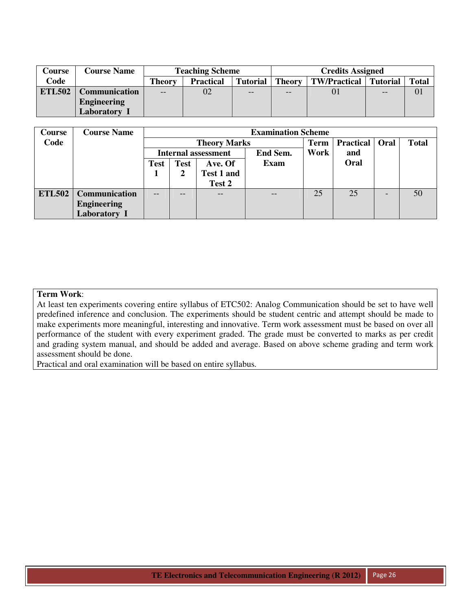| Course        | <b>Course Name</b>   |               | <b>Teaching Scheme</b> |                 | <b>Credits Assigned</b> |                     |                 |              |  |  |
|---------------|----------------------|---------------|------------------------|-----------------|-------------------------|---------------------|-----------------|--------------|--|--|
| Code          |                      | <b>Theory</b> | <b>Practical</b>       | <b>Tutorial</b> | <b>Theory</b>           | <b>TW/Practical</b> | <b>Tutorial</b> | <b>Total</b> |  |  |
| <b>ETL502</b> | <b>Communication</b> | $- -$         | 02                     | $- -$           | $- -$                   | 01                  | $-$             | 01           |  |  |
|               | <b>Engineering</b>   |               |                        |                 |                         |                     |                 |              |  |  |
|               | Laboratory           |               |                        |                 |                         |                     |                 |              |  |  |

| <b>Course</b> | <b>Course Name</b> |             |             |                            | <b>Examination Scheme</b> |             |                  |                 |              |
|---------------|--------------------|-------------|-------------|----------------------------|---------------------------|-------------|------------------|-----------------|--------------|
| Code          |                    |             |             | <b>Theory Marks</b>        |                           | <b>Term</b> | <b>Practical</b> | Oral            | <b>Total</b> |
|               |                    |             |             | <b>Internal assessment</b> | End Sem.                  | Work        | and              |                 |              |
|               |                    | <b>Test</b> | <b>Test</b> | Ave. Of                    | <b>Exam</b>               |             | Oral             |                 |              |
|               |                    |             | 2           | Test 1 and                 |                           |             |                  |                 |              |
|               |                    |             |             | Test 2                     |                           |             |                  |                 |              |
| <b>ETL502</b> | Communication      | --          | --          | $-$                        | $- -$                     | 25          | 25               | $\qquad \qquad$ | 50           |
|               | <b>Engineering</b> |             |             |                            |                           |             |                  |                 |              |
|               | Laboratory I       |             |             |                            |                           |             |                  |                 |              |

At least ten experiments covering entire syllabus of ETC502: Analog Communication should be set to have well predefined inference and conclusion. The experiments should be student centric and attempt should be made to make experiments more meaningful, interesting and innovative. Term work assessment must be based on over all performance of the student with every experiment graded. The grade must be converted to marks as per credit and grading system manual, and should be added and average. Based on above scheme grading and term work assessment should be done.

Practical and oral examination will be based on entire syllabus.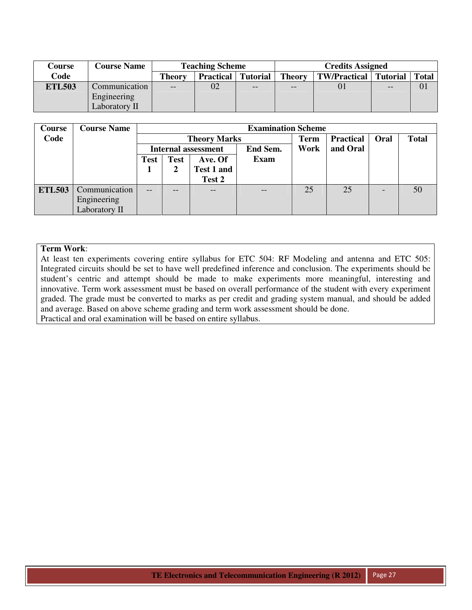| Course        | <b>Course Name</b> |                                            | <b>Teaching Scheme</b> |      |               | <b>Credits Assigned</b> |                 |              |  |  |
|---------------|--------------------|--------------------------------------------|------------------------|------|---------------|-------------------------|-----------------|--------------|--|--|
| Code          |                    | <b>Theory</b><br><b>Practical</b> Tutorial |                        |      | <b>Theory</b> | <b>TW/Practical</b>     | <b>Tutorial</b> | <b>Total</b> |  |  |
| <b>ETL503</b> | Communication      | $- -$                                      | 02                     | $ -$ | $- -$         |                         | --              | 01           |  |  |
|               | Engineering        |                                            |                        |      |               |                         |                 |              |  |  |
|               | Laboratory II      |                                            |                        |      |               |                         |                 |              |  |  |

| Course        | <b>Course Name</b> |             |             |                            | <b>Examination Scheme</b> |             |                  |      |              |  |
|---------------|--------------------|-------------|-------------|----------------------------|---------------------------|-------------|------------------|------|--------------|--|
| Code          |                    |             |             | <b>Theory Marks</b>        |                           | <b>Term</b> | <b>Practical</b> | Oral | <b>Total</b> |  |
|               |                    |             |             | <b>Internal assessment</b> | End Sem.                  | Work        | and Oral         |      |              |  |
|               |                    | <b>Test</b> | <b>Test</b> | Ave. Of                    | <b>Exam</b>               |             |                  |      |              |  |
|               |                    |             |             | Test 1 and                 |                           |             |                  |      |              |  |
|               |                    |             |             | Test 2                     |                           |             |                  |      |              |  |
| <b>ETL503</b> | Communication      | $- -$       | --          |                            | $- -$                     | 25          | 25               |      | 50           |  |
|               | Engineering        |             |             |                            |                           |             |                  |      |              |  |
|               | Laboratory II      |             |             |                            |                           |             |                  |      |              |  |

At least ten experiments covering entire syllabus for ETC 504: RF Modeling and antenna and ETC 505: Integrated circuits should be set to have well predefined inference and conclusion. The experiments should be student's centric and attempt should be made to make experiments more meaningful, interesting and innovative. Term work assessment must be based on overall performance of the student with every experiment graded. The grade must be converted to marks as per credit and grading system manual, and should be added and average. Based on above scheme grading and term work assessment should be done. Practical and oral examination will be based on entire syllabus.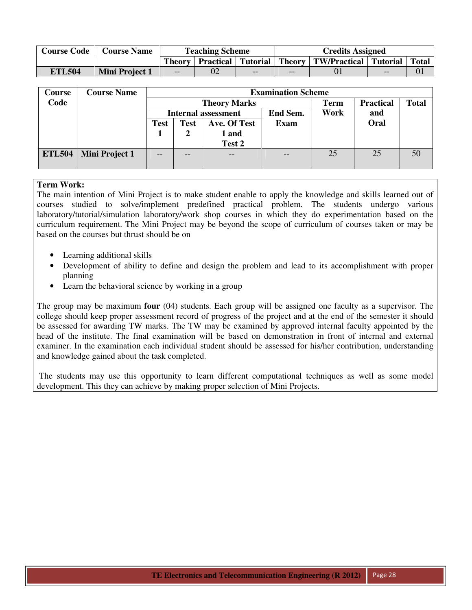| <b>Course Code</b> | <b>Course Name</b>    |       | <b>Teaching Scheme</b> |       | <b>Credits Assigned</b> |                                                                          |     |  |  |
|--------------------|-----------------------|-------|------------------------|-------|-------------------------|--------------------------------------------------------------------------|-----|--|--|
|                    |                       |       |                        |       |                         | Theory   Practical   Tutorial   Theory   TW/Practical   Tutorial   Total |     |  |  |
| <b>ETL504</b>      | <b>Mini Project 1</b> | $- -$ |                        | $- -$ | $- -$                   |                                                                          | $-$ |  |  |

| Course        | <b>Course Name</b> |             | <b>Examination Scheme</b> |                            |             |             |                  |              |  |  |  |
|---------------|--------------------|-------------|---------------------------|----------------------------|-------------|-------------|------------------|--------------|--|--|--|
| Code          |                    |             |                           | <b>Theory Marks</b>        |             | <b>Term</b> | <b>Practical</b> | <b>Total</b> |  |  |  |
|               |                    |             |                           | <b>Internal assessment</b> | End Sem.    | Work        | and              |              |  |  |  |
|               |                    | <b>Test</b> | <b>Test</b>               | Ave. Of Test               | <b>Exam</b> |             | Oral             |              |  |  |  |
|               |                    |             |                           | 1 and                      |             |             |                  |              |  |  |  |
|               |                    |             |                           | Test 2                     |             |             |                  |              |  |  |  |
| <b>ETL504</b> | Mini Project 1     | $-$         | $- -$                     | $- -$                      |             | 25          | 25               | 50           |  |  |  |
|               |                    |             |                           |                            |             |             |                  |              |  |  |  |

The main intention of Mini Project is to make student enable to apply the knowledge and skills learned out of courses studied to solve/implement predefined practical problem. The students undergo various laboratory/tutorial/simulation laboratory/work shop courses in which they do experimentation based on the curriculum requirement. The Mini Project may be beyond the scope of curriculum of courses taken or may be based on the courses but thrust should be on

- Learning additional skills
- Development of ability to define and design the problem and lead to its accomplishment with proper planning
- Learn the behavioral science by working in a group

The group may be maximum **four** (04) students. Each group will be assigned one faculty as a supervisor. The college should keep proper assessment record of progress of the project and at the end of the semester it should be assessed for awarding TW marks. The TW may be examined by approved internal faculty appointed by the head of the institute. The final examination will be based on demonstration in front of internal and external examiner. In the examination each individual student should be assessed for his/her contribution, understanding and knowledge gained about the task completed.

 The students may use this opportunity to learn different computational techniques as well as some model development. This they can achieve by making proper selection of Mini Projects.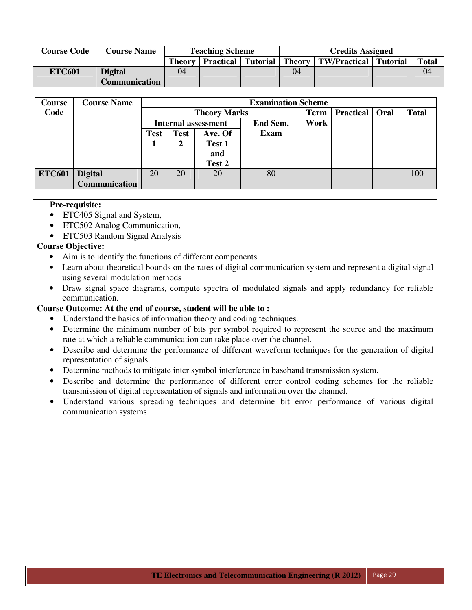| <b>Course Code</b> | <b>Course Name</b>   |        | <b>Teaching Scheme</b> |       | <b>Credits Assigned</b> |                                                         |       |              |  |
|--------------------|----------------------|--------|------------------------|-------|-------------------------|---------------------------------------------------------|-------|--------------|--|
|                    |                      | Theory |                        |       |                         | Practical   Tutorial   Theory   TW/Practical   Tutorial |       | <b>Total</b> |  |
| <b>ETC601</b>      | <b>Digital</b>       | 04     | $- -$                  | $- -$ | 04                      | $- -$                                                   | $- -$ | 04           |  |
|                    | <b>Communication</b> |        |                        |       |                         |                                                         |       |              |  |

| <b>Course</b> | <b>Course Name</b>   |                            |             |                     | <b>Examination Scheme</b> |             |                  |      |              |
|---------------|----------------------|----------------------------|-------------|---------------------|---------------------------|-------------|------------------|------|--------------|
| Code          |                      |                            |             | <b>Theory Marks</b> |                           | <b>Term</b> | <b>Practical</b> | Oral | <b>Total</b> |
|               |                      | <b>Internal assessment</b> |             |                     | End Sem.                  | Work        |                  |      |              |
|               |                      | <b>Test</b>                | <b>Test</b> | Ave. Of             | <b>Exam</b>               |             |                  |      |              |
|               |                      |                            | 2           | Test 1              |                           |             |                  |      |              |
|               |                      |                            |             | and                 |                           |             |                  |      |              |
|               |                      |                            |             | Test 2              |                           |             |                  |      |              |
| <b>ETC601</b> | <b>Digital</b>       | 20                         | 20          | 20                  | 80                        | -           | -                | -    | 100          |
|               | <b>Communication</b> |                            |             |                     |                           |             |                  |      |              |

# **Pre-requisite:**

- ETC405 Signal and System,
- ETC502 Analog Communication,
- ETC503 Random Signal Analysis

# **Course Objective:**

- Aim is to identify the functions of different components
- Learn about theoretical bounds on the rates of digital communication system and represent a digital signal using several modulation methods
- Draw signal space diagrams, compute spectra of modulated signals and apply redundancy for reliable communication.

# **Course Outcome: At the end of course, student will be able to :**

- Understand the basics of information theory and coding techniques.
- Determine the minimum number of bits per symbol required to represent the source and the maximum rate at which a reliable communication can take place over the channel.
- Describe and determine the performance of different waveform techniques for the generation of digital representation of signals.
- Determine methods to mitigate inter symbol interference in baseband transmission system.
- Describe and determine the performance of different error control coding schemes for the reliable transmission of digital representation of signals and information over the channel.
- Understand various spreading techniques and determine bit error performance of various digital communication systems.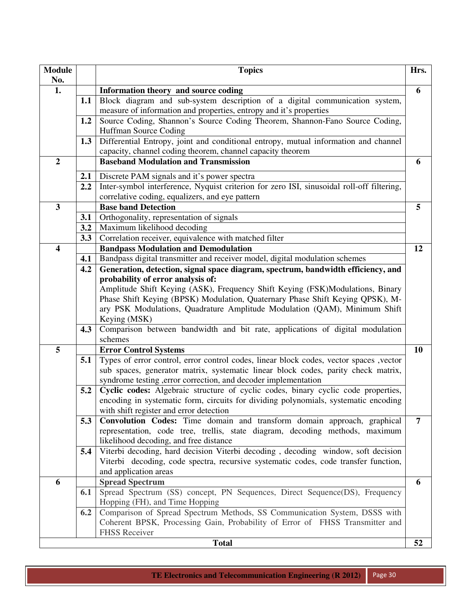| <b>Module</b>           |     | <b>Topics</b>                                                                                                                                     | Hrs.           |
|-------------------------|-----|---------------------------------------------------------------------------------------------------------------------------------------------------|----------------|
| No.                     |     |                                                                                                                                                   |                |
| 1.                      |     | Information theory and source coding                                                                                                              | 6              |
|                         | 1.1 | Block diagram and sub-system description of a digital communication system,                                                                       |                |
|                         |     | measure of information and properties, entropy and it's properties<br>Source Coding, Shannon's Source Coding Theorem, Shannon-Fano Source Coding, |                |
|                         | 1.2 | Huffman Source Coding                                                                                                                             |                |
|                         |     | Differential Entropy, joint and conditional entropy, mutual information and channel                                                               |                |
|                         | 1.3 | capacity, channel coding theorem, channel capacity theorem                                                                                        |                |
| $\boldsymbol{2}$        |     | <b>Baseband Modulation and Transmission</b>                                                                                                       |                |
|                         |     |                                                                                                                                                   | 6              |
|                         | 2.1 | Discrete PAM signals and it's power spectra                                                                                                       |                |
|                         | 2.2 | Inter-symbol interference, Nyquist criterion for zero ISI, sinusoidal roll-off filtering,                                                         |                |
|                         |     | correlative coding, equalizers, and eye pattern                                                                                                   |                |
| 3                       |     | <b>Base band Detection</b>                                                                                                                        | 5              |
|                         | 3.1 | Orthogonality, representation of signals                                                                                                          |                |
|                         | 3.2 | Maximum likelihood decoding                                                                                                                       |                |
|                         | 3.3 | Correlation receiver, equivalence with matched filter                                                                                             |                |
| $\overline{\mathbf{4}}$ |     | <b>Bandpass Modulation and Demodulation</b>                                                                                                       | 12             |
|                         | 4.1 | Bandpass digital transmitter and receiver model, digital modulation schemes                                                                       |                |
|                         | 4.2 | Generation, detection, signal space diagram, spectrum, bandwidth efficiency, and                                                                  |                |
|                         |     | probability of error analysis of:                                                                                                                 |                |
|                         |     | Amplitude Shift Keying (ASK), Frequency Shift Keying (FSK)Modulations, Binary                                                                     |                |
|                         |     | Phase Shift Keying (BPSK) Modulation, Quaternary Phase Shift Keying QPSK), M-                                                                     |                |
|                         |     | ary PSK Modulations, Quadrature Amplitude Modulation (QAM), Minimum Shift                                                                         |                |
|                         |     | Keying (MSK)                                                                                                                                      |                |
|                         | 4.3 | Comparison between bandwidth and bit rate, applications of digital modulation                                                                     |                |
|                         |     | schemes                                                                                                                                           |                |
| 5                       |     | <b>Error Control Systems</b>                                                                                                                      | 10             |
|                         | 5.1 | Types of error control, error control codes, linear block codes, vector spaces, vector                                                            |                |
|                         |     | sub spaces, generator matrix, systematic linear block codes, parity check matrix,                                                                 |                |
|                         |     | syndrome testing , error correction, and decoder implementation                                                                                   |                |
|                         | 5.2 | Cyclic codes: Algebraic structure of cyclic codes, binary cyclic code properties,                                                                 |                |
|                         |     | encoding in systematic form, circuits for dividing polynomials, systematic encoding                                                               |                |
|                         |     | with shift register and error detection                                                                                                           |                |
|                         | 5.3 | <b>Convolution Codes:</b> Time domain and transform domain approach, graphical                                                                    | $\overline{7}$ |
|                         |     | representation, code tree, trellis, state diagram, decoding methods, maximum                                                                      |                |
|                         |     | likelihood decoding, and free distance                                                                                                            |                |
|                         | 5.4 | Viterbi decoding, hard decision Viterbi decoding, decoding window, soft decision                                                                  |                |
|                         |     | Viterbi decoding, code spectra, recursive systematic codes, code transfer function,                                                               |                |
|                         |     | and application areas                                                                                                                             |                |
| 6                       |     | <b>Spread Spectrum</b>                                                                                                                            | 6              |
|                         | 6.1 | Spread Spectrum (SS) concept, PN Sequences, Direct Sequence(DS), Frequency                                                                        |                |
|                         |     | Hopping (FH), and Time Hopping                                                                                                                    |                |
|                         | 6.2 | Comparison of Spread Spectrum Methods, SS Communication System, DSSS with                                                                         |                |
|                         |     | Coherent BPSK, Processing Gain, Probability of Error of FHSS Transmitter and                                                                      |                |
|                         |     | <b>FHSS Receiver</b>                                                                                                                              |                |
|                         |     | <b>Total</b>                                                                                                                                      | 52             |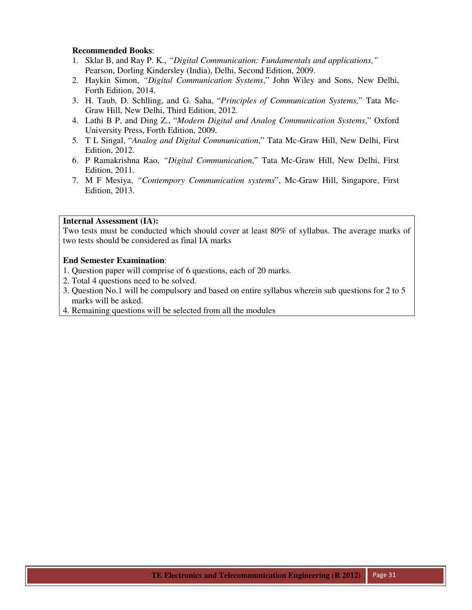- 1. Sklar B, and Ray P. K., *"Digital Communication: Fundamentals and applications,"* Pearson, Dorling Kindersley (India), Delhi, Second Edition, 2009.
- 2. Haykin Simon, *"Digital Communication Systems*," John Wiley and Sons, New Delhi, Forth Edition, 2014.
- 3. H. Taub, D. Schlling, and G. Saha, "*Principles of Communication Systems,*" Tata Mc-Graw Hill, New Delhi, Third Edition, 2012.
- 4. Lathi B P, and Ding Z., "*Modern Digital and Analog Communication Systems*," Oxford University Press, Forth Edition, 2009.
- 5. T L Singal, "*Analog and Digital Communication*," Tata Mc-Graw Hill, New Delhi, First Edition, 2012.
- 6. P Ramakrishna Rao, *"Digital Communication*," Tata Mc-Graw Hill, New Delhi, First Edition, 2011.
- 7. M F Mesiya, *"Contempory Communication systems*", Mc-Graw Hill, Singapore, First Edition, 2013.

#### **Internal Assessment (IA):**

Two tests must be conducted which should cover at least 80% of syllabus. The average marks of two tests should be considered as final IA marks

- 1. Question paper will comprise of 6 questions, each of 20 marks.
- 2. Total 4 questions need to be solved.
- 3. Question No.1 will be compulsory and based on entire syllabus wherein sub questions for 2 to 5 marks will be asked.
- 4. Remaining questions will be selected from all the modules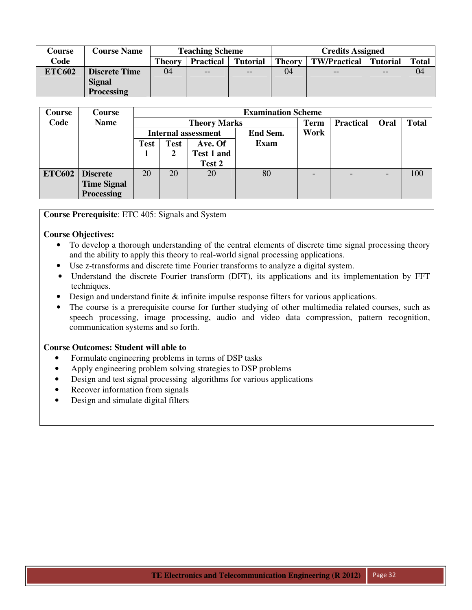| Course        | <b>Course Name</b>   |        | <b>Teaching Scheme</b> |                 | <b>Credits Assigned</b> |                     |                 |              |  |  |
|---------------|----------------------|--------|------------------------|-----------------|-------------------------|---------------------|-----------------|--------------|--|--|
| Code          |                      | Theorv | <b>Practical</b>       | <b>Tutorial</b> | <b>Theory</b>           | <b>TW/Practical</b> | <b>Tutorial</b> | <b>Total</b> |  |  |
| <b>ETC602</b> | <b>Discrete Time</b> | 04     | $- -$                  | $- -$           | 04                      | $\qquad \qquad -$   | $- -$           | 04           |  |  |
|               | <b>Signal</b>        |        |                        |                 |                         |                     |                 |              |  |  |
|               | <b>Processing</b>    |        |                        |                 |                         |                     |                 |              |  |  |

| <b>Course</b> | Course             |             |             |                            | <b>Examination Scheme</b> |                          |                  |      |              |
|---------------|--------------------|-------------|-------------|----------------------------|---------------------------|--------------------------|------------------|------|--------------|
| Code          | <b>Name</b>        |             |             | <b>Theory Marks</b>        |                           | <b>Term</b>              | <b>Practical</b> | Oral | <b>Total</b> |
|               |                    |             |             | <b>Internal assessment</b> | End Sem.                  | Work                     |                  |      |              |
|               |                    | <b>Test</b> | <b>Test</b> | Ave. Of                    | <b>Exam</b>               |                          |                  |      |              |
|               |                    |             | 2           | Test 1 and                 |                           |                          |                  |      |              |
|               |                    |             |             | Test 2                     |                           |                          |                  |      |              |
| <b>ETC602</b> | <b>Discrete</b>    | 20          | 20          | 20                         | 80                        | $\overline{\phantom{0}}$ | -                |      | 100          |
|               | <b>Time Signal</b> |             |             |                            |                           |                          |                  |      |              |
|               | <b>Processing</b>  |             |             |                            |                           |                          |                  |      |              |

**Course Prerequisite**: ETC 405: Signals and System

# **Course Objectives:**

- To develop a thorough understanding of the central elements of discrete time signal processing theory and the ability to apply this theory to real-world signal processing applications.
- Use z-transforms and discrete time Fourier transforms to analyze a digital system.
- Understand the discrete Fourier transform (DFT), its applications and its implementation by FFT techniques.
- Design and understand finite  $\&$  infinite impulse response filters for various applications.
- The course is a prerequisite course for further studying of other multimedia related courses, such as speech processing, image processing, audio and video data compression, pattern recognition, communication systems and so forth.

# **Course Outcomes: Student will able to**

- Formulate engineering problems in terms of DSP tasks
- Apply engineering problem solving strategies to DSP problems
- Design and test signal processing algorithms for various applications
- Recover information from signals
- Design and simulate digital filters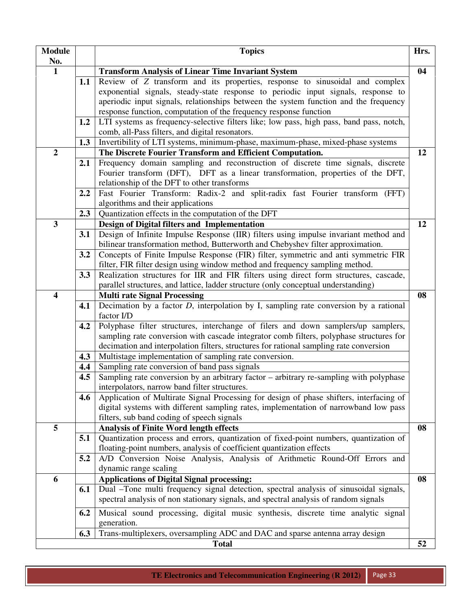| <b>Module</b><br>No.    |                  | <b>Topics</b>                                                                                                                                                 | Hrs. |
|-------------------------|------------------|---------------------------------------------------------------------------------------------------------------------------------------------------------------|------|
| $\mathbf{1}$            |                  | <b>Transform Analysis of Linear Time Invariant System</b>                                                                                                     | 04   |
|                         | 1.1              | Review of Z transform and its properties, response to sinusoidal and complex                                                                                  |      |
|                         |                  | exponential signals, steady-state response to periodic input signals, response to                                                                             |      |
|                         |                  | aperiodic input signals, relationships between the system function and the frequency                                                                          |      |
|                         |                  | response function, computation of the frequency response function                                                                                             |      |
|                         | 1.2              | LTI systems as frequency-selective filters like; low pass, high pass, band pass, notch,                                                                       |      |
|                         |                  | comb, all-Pass filters, and digital resonators.                                                                                                               |      |
|                         | 1.3              | Invertibility of LTI systems, minimum-phase, maximum-phase, mixed-phase systems                                                                               |      |
| $\overline{2}$          |                  | The Discrete Fourier Transform and Efficient Computation.                                                                                                     | 12   |
|                         | 2.1              | Frequency domain sampling and reconstruction of discrete time signals, discrete                                                                               |      |
|                         |                  | Fourier transform (DFT), DFT as a linear transformation, properties of the DFT,                                                                               |      |
|                         |                  | relationship of the DFT to other transforms                                                                                                                   |      |
|                         | $2.2\phantom{0}$ | Fast Fourier Transform: Radix-2 and split-radix fast Fourier transform (FFT)                                                                                  |      |
|                         |                  | algorithms and their applications                                                                                                                             |      |
|                         | 2.3              | Quantization effects in the computation of the DFT                                                                                                            |      |
| $\overline{\mathbf{3}}$ |                  | Design of Digital filters and Implementation                                                                                                                  | 12   |
|                         | 3.1              | Design of Infinite Impulse Response (IIR) filters using impulse invariant method and                                                                          |      |
|                         |                  | bilinear transformation method, Butterworth and Chebyshev filter approximation.                                                                               |      |
|                         | 3.2              | Concepts of Finite Impulse Response (FIR) filter, symmetric and anti symmetric FIR                                                                            |      |
|                         |                  | filter, FIR filter design using window method and frequency sampling method.                                                                                  |      |
|                         | 3.3              | Realization structures for IIR and FIR filters using direct form structures, cascade,                                                                         |      |
|                         |                  | parallel structures, and lattice, ladder structure (only conceptual understanding)                                                                            |      |
| $\overline{\mathbf{4}}$ |                  | <b>Multi rate Signal Processing</b>                                                                                                                           | 08   |
|                         | 4.1              | Decimation by a factor $D$ , interpolation by I, sampling rate conversion by a rational                                                                       |      |
|                         |                  | factor I/D                                                                                                                                                    |      |
|                         | 4.2              | Polyphase filter structures, interchange of filers and down samplers/up samplers,                                                                             |      |
|                         |                  | sampling rate conversion with cascade integrator comb filters, polyphase structures for                                                                       |      |
|                         |                  | decimation and interpolation filters, structures for rational sampling rate conversion                                                                        |      |
|                         | 4.3              | Multistage implementation of sampling rate conversion.                                                                                                        |      |
|                         | 4.4              | Sampling rate conversion of band pass signals                                                                                                                 |      |
|                         | 4.5              | Sampling rate conversion by an arbitrary factor - arbitrary re-sampling with polyphase                                                                        |      |
|                         |                  | interpolators, narrow band filter structures.                                                                                                                 |      |
|                         | 4.6              | Application of Multirate Signal Processing for design of phase shifters, interfacing of                                                                       |      |
|                         |                  | digital systems with different sampling rates, implementation of narrowband low pass                                                                          |      |
| 5                       |                  | filters, sub band coding of speech signals                                                                                                                    |      |
|                         |                  | <b>Analysis of Finite Word length effects</b>                                                                                                                 | 08   |
|                         | 5.1              | Quantization process and errors, quantization of fixed-point numbers, quantization of<br>floating-point numbers, analysis of coefficient quantization effects |      |
|                         | 5.2              | A/D Conversion Noise Analysis, Analysis of Arithmetic Round-Off Errors and                                                                                    |      |
|                         |                  | dynamic range scaling                                                                                                                                         |      |
| 6                       |                  | <b>Applications of Digital Signal processing:</b>                                                                                                             | 08   |
|                         | 6.1              | Dual –Tone multi frequency signal detection, spectral analysis of sinusoidal signals,                                                                         |      |
|                         |                  | spectral analysis of non stationary signals, and spectral analysis of random signals                                                                          |      |
|                         |                  |                                                                                                                                                               |      |
|                         | 6.2              | Musical sound processing, digital music synthesis, discrete time analytic signal                                                                              |      |
|                         |                  | generation.                                                                                                                                                   |      |
|                         | 6.3              | Trans-multiplexers, oversampling ADC and DAC and sparse antenna array design                                                                                  |      |
|                         |                  | <b>Total</b>                                                                                                                                                  | 52   |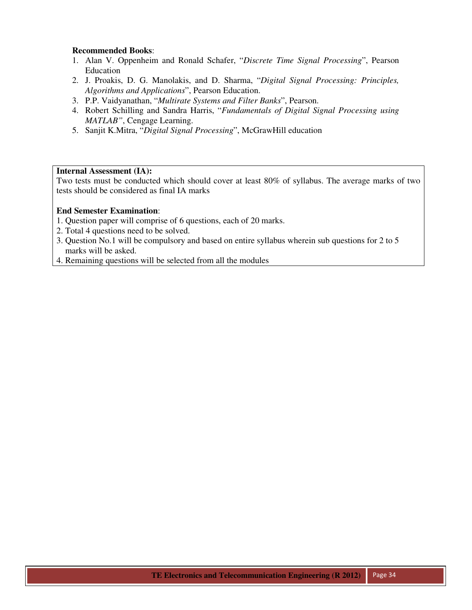- 1. Alan V. Oppenheim and Ronald Schafer, "*Discrete Time Signal Processing*", Pearson Education
- 2. J. Proakis, D. G. Manolakis, and D. Sharma, "*Digital Signal Processing: Principles, Algorithms and Applications*", Pearson Education.
- 3. P.P. Vaidyanathan, "*Multirate Systems and Filter Banks*", Pearson.
- 4. Robert Schilling and Sandra Harris, "*Fundamentals of Digital Signal Processing using MATLAB"*, Cengage Learning.
- 5. Sanjit K.Mitra, "*Digital Signal Processing*", McGrawHill education

#### **Internal Assessment (IA):**

Two tests must be conducted which should cover at least 80% of syllabus. The average marks of two tests should be considered as final IA marks

- 1. Question paper will comprise of 6 questions, each of 20 marks.
- 2. Total 4 questions need to be solved.
- 3. Question No.1 will be compulsory and based on entire syllabus wherein sub questions for 2 to 5 marks will be asked.
- 4. Remaining questions will be selected from all the modules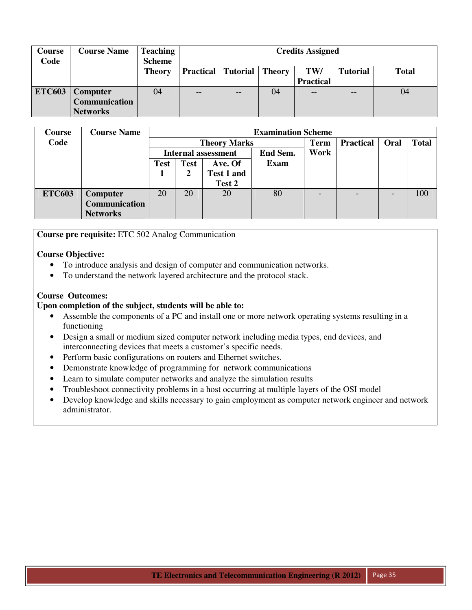| <b>Course</b><br>Code | <b>Course Name</b>   | <b>Teaching</b><br><b>Scheme</b> |    | <b>Credits Assigned</b>                                                        |    |                  |    |    |  |  |  |
|-----------------------|----------------------|----------------------------------|----|--------------------------------------------------------------------------------|----|------------------|----|----|--|--|--|
|                       |                      | <b>Theory</b>                    |    | <b>Practical   Tutorial   Theory</b><br>TW/<br><b>Tutorial</b><br><b>Total</b> |    |                  |    |    |  |  |  |
|                       |                      |                                  |    |                                                                                |    | <b>Practical</b> |    |    |  |  |  |
| <b>ETC603</b>         | <b>Computer</b>      | 04                               | -- | --                                                                             | 04 | --               | -- | 04 |  |  |  |
|                       | <b>Communication</b> |                                  |    |                                                                                |    |                  |    |    |  |  |  |
|                       | <b>Networks</b>      |                                  |    |                                                                                |    |                  |    |    |  |  |  |

| <b>Course</b> | <b>Course Name</b>   |      |             |                            | <b>Examination Scheme</b> |             |                  |      |              |
|---------------|----------------------|------|-------------|----------------------------|---------------------------|-------------|------------------|------|--------------|
| Code          |                      |      |             | <b>Theory Marks</b>        |                           | <b>Term</b> | <b>Practical</b> | Oral | <b>Total</b> |
|               |                      |      |             | <b>Internal assessment</b> | <b>End Sem.</b>           | Work        |                  |      |              |
|               |                      | Test | <b>Test</b> | Ave. Of                    | <b>Exam</b>               |             |                  |      |              |
|               |                      |      |             | Test 1 and                 |                           |             |                  |      |              |
|               |                      |      |             | Test 2                     |                           |             |                  |      |              |
| <b>ETC603</b> | Computer             | 20   | 20          | 20                         | 80                        |             |                  |      | 100          |
|               | <b>Communication</b> |      |             |                            |                           |             |                  |      |              |
|               | <b>Networks</b>      |      |             |                            |                           |             |                  |      |              |

**Course pre requisite:** ETC 502 Analog Communication

# **Course Objective:**

- To introduce analysis and design of computer and communication networks.
- To understand the network layered architecture and the protocol stack.

# **Course Outcomes:**

#### **Upon completion of the subject, students will be able to:**

- Assemble the components of a PC and install one or more network operating systems resulting in a functioning
- Design a small or medium sized computer network including media types, end devices, and interconnecting devices that meets a customer's specific needs.
- Perform basic configurations on routers and Ethernet switches.
- Demonstrate knowledge of programming for network communications
- Learn to simulate computer networks and analyze the simulation results
- Troubleshoot connectivity problems in a host occurring at multiple layers of the OSI model
- Develop knowledge and skills necessary to gain employment as computer network engineer and network administrator.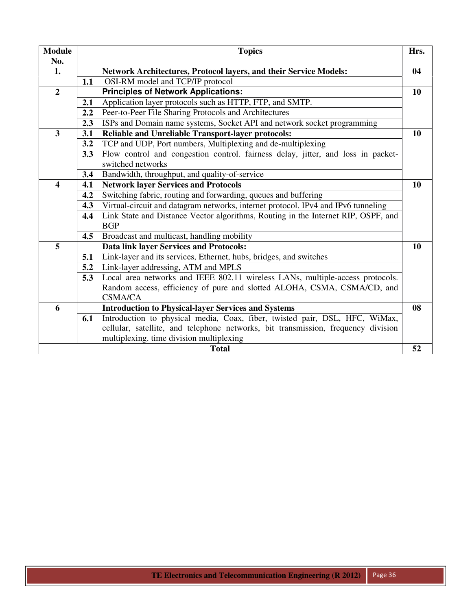| <b>Module</b>           |     | <b>Topics</b>                                                                     | Hrs. |
|-------------------------|-----|-----------------------------------------------------------------------------------|------|
| No.                     |     |                                                                                   |      |
| 1.                      |     | <b>Network Architectures, Protocol layers, and their Service Models:</b>          | 04   |
| $\overline{2}$          | 1.1 | OSI-RM model and TCP/IP protocol                                                  |      |
|                         |     | <b>Principles of Network Applications:</b>                                        | 10   |
|                         | 2.1 | Application layer protocols such as HTTP, FTP, and SMTP.                          |      |
|                         | 2.2 | Peer-to-Peer File Sharing Protocols and Architectures                             |      |
|                         | 2.3 | ISPs and Domain name systems, Socket API and network socket programming           |      |
| $\overline{\mathbf{3}}$ | 3.1 | Reliable and Unreliable Transport-layer protocols:                                | 10   |
|                         | 3.2 | TCP and UDP, Port numbers, Multiplexing and de-multiplexing                       |      |
|                         | 3.3 | Flow control and congestion control. fairness delay, jitter, and loss in packet-  |      |
|                         |     | switched networks                                                                 |      |
|                         | 3.4 | Bandwidth, throughput, and quality-of-service                                     |      |
| 4                       | 4.1 | <b>Network layer Services and Protocols</b>                                       | 10   |
|                         | 4.2 | Switching fabric, routing and forwarding, queues and buffering                    |      |
|                         | 4.3 | Virtual-circuit and datagram networks, internet protocol. IPv4 and IPv6 tunneling |      |
|                         | 4.4 | Link State and Distance Vector algorithms, Routing in the Internet RIP, OSPF, and |      |
|                         |     | <b>BGP</b>                                                                        |      |
|                         | 4.5 | Broadcast and multicast, handling mobility                                        |      |
| 5                       |     | <b>Data link layer Services and Protocols:</b>                                    | 10   |
|                         | 5.1 | Link-layer and its services, Ethernet, hubs, bridges, and switches                |      |
|                         | 5.2 | Link-layer addressing, ATM and MPLS                                               |      |
|                         | 5.3 | Local area networks and IEEE 802.11 wireless LANs, multiple-access protocols.     |      |
|                         |     | Random access, efficiency of pure and slotted ALOHA, CSMA, CSMA/CD, and           |      |
|                         |     | <b>CSMA/CA</b>                                                                    |      |
| 6                       |     | <b>Introduction to Physical-layer Services and Systems</b>                        | 08   |
|                         | 6.1 | Introduction to physical media, Coax, fiber, twisted pair, DSL, HFC, WiMax,       |      |
|                         |     | cellular, satellite, and telephone networks, bit transmission, frequency division |      |
|                         |     | multiplexing. time division multiplexing                                          |      |
|                         |     | <b>Total</b>                                                                      | 52   |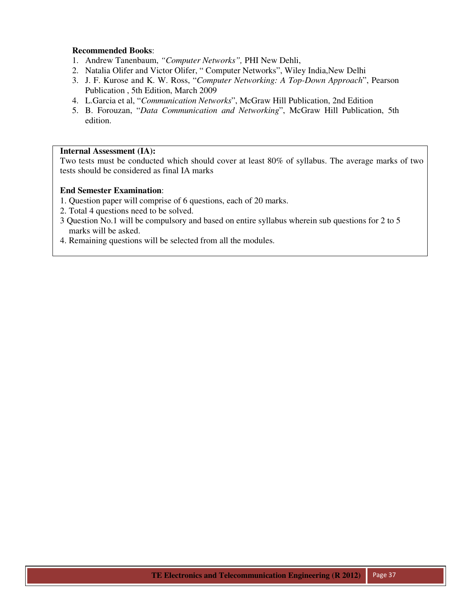- 1. Andrew Tanenbaum, *"Computer Networks",* PHI New Dehli,
- 2. Natalia Olifer and Victor Olifer, " Computer Networks", Wiley India,New Delhi
- 3. J. F. Kurose and K. W. Ross, "*Computer Networking: A Top-Down Approach*", Pearson Publication , 5th Edition, March 2009
- 4. L.Garcia et al, "*Communication Networks*", McGraw Hill Publication, 2nd Edition
- 5. B. Forouzan, "*Data Communication and Networking*", McGraw Hill Publication, 5th edition.

# **Internal Assessment (IA):**

Two tests must be conducted which should cover at least 80% of syllabus. The average marks of two tests should be considered as final IA marks

- 1. Question paper will comprise of 6 questions, each of 20 marks.
- 2. Total 4 questions need to be solved.
- 3 Question No.1 will be compulsory and based on entire syllabus wherein sub questions for 2 to 5 marks will be asked.
- 4. Remaining questions will be selected from all the modules.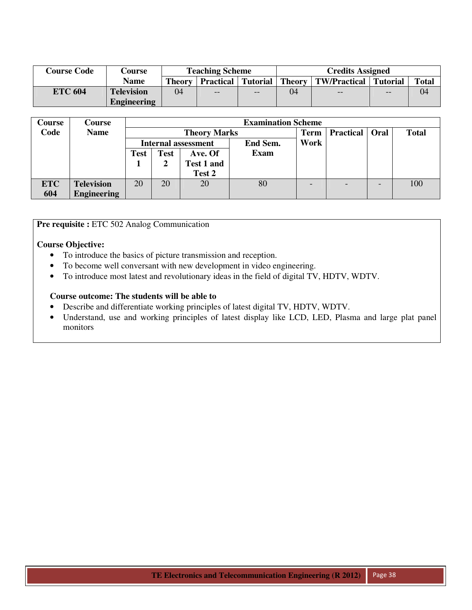| <b>Course Code</b> | Course             |                                                      | <b>Teaching Scheme</b> |    | <b>Credits Assigned</b> |                                  |    |              |  |  |
|--------------------|--------------------|------------------------------------------------------|------------------------|----|-------------------------|----------------------------------|----|--------------|--|--|
|                    | Name               | <b>Tutorial</b><br><b>Practical</b><br><b>Theory</b> |                        |    |                         | Theory   TW/Practical   Tutorial |    | <b>Total</b> |  |  |
| <b>ETC 604</b>     | <b>Television</b>  | 04                                                   | $\qquad \qquad -$      | -- | 04                      | $- -$                            | -- | 04           |  |  |
|                    | <b>Engineering</b> |                                                      |                        |    |                         |                                  |    |              |  |  |

| Course     | Course             |             |             |                            | <b>Examination Scheme</b> |             |                  |      |              |
|------------|--------------------|-------------|-------------|----------------------------|---------------------------|-------------|------------------|------|--------------|
| Code       | <b>Name</b>        |             |             | <b>Theory Marks</b>        |                           | <b>Term</b> | <b>Practical</b> | Oral | <b>Total</b> |
|            |                    |             |             | <b>Internal assessment</b> | End Sem.                  | Work        |                  |      |              |
|            |                    | <b>Test</b> | <b>Test</b> | Ave. Of                    | <b>Exam</b>               |             |                  |      |              |
|            |                    |             |             | <b>Test 1 and</b>          |                           |             |                  |      |              |
|            |                    |             |             | Test 2                     |                           |             |                  |      |              |
| <b>ETC</b> | <b>Television</b>  | 20          | 20          | 20                         | 80                        |             |                  |      | 100          |
| 604        | <b>Engineering</b> |             |             |                            |                           |             |                  |      |              |

**Pre requisite :** ETC 502 Analog Communication

#### **Course Objective:**

- To introduce the basics of picture transmission and reception.
- To become well conversant with new development in video engineering.
- To introduce most latest and revolutionary ideas in the field of digital TV, HDTV, WDTV.

#### **Course outcome: The students will be able to**

- Describe and differentiate working principles of latest digital TV, HDTV, WDTV.
- Understand, use and working principles of latest display like LCD, LED, Plasma and large plat panel monitors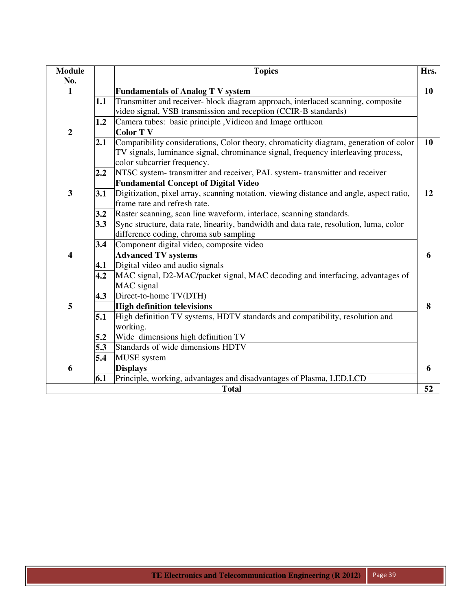| <b>Module</b>           |     | <b>Topics</b>                                                                                                    | Hrs. |
|-------------------------|-----|------------------------------------------------------------------------------------------------------------------|------|
| No.                     |     |                                                                                                                  |      |
| $\mathbf{1}$            |     | <b>Fundamentals of Analog T V system</b>                                                                         | 10   |
|                         | 1.1 | Transmitter and receiver- block diagram approach, interlaced scanning, composite                                 |      |
|                         |     | video signal, VSB transmission and reception (CCIR-B standards)                                                  |      |
|                         | 1.2 | Camera tubes: basic principle, Vidicon and Image orthicon                                                        |      |
| $\overline{2}$          |     | <b>Color TV</b>                                                                                                  |      |
|                         | 2.1 | Compatibility considerations, Color theory, chromaticity diagram, generation of color                            | 10   |
|                         |     | TV signals, luminance signal, chrominance signal, frequency interleaving process,<br>color subcarrier frequency. |      |
|                         | 2.2 | NTSC system- transmitter and receiver, PAL system- transmitter and receiver                                      |      |
|                         |     | <b>Fundamental Concept of Digital Video</b>                                                                      |      |
| $\overline{\mathbf{3}}$ | 3.1 | Digitization, pixel array, scanning notation, viewing distance and angle, aspect ratio,                          | 12   |
|                         |     | frame rate and refresh rate.                                                                                     |      |
|                         | 3.2 | Raster scanning, scan line waveform, interlace, scanning standards.                                              |      |
|                         | 3.3 | Sync structure, data rate, linearity, bandwidth and data rate, resolution, luma, color                           |      |
|                         |     | difference coding, chroma sub sampling                                                                           |      |
|                         | 3.4 | Component digital video, composite video                                                                         |      |
| 4                       |     | <b>Advanced TV systems</b>                                                                                       | 6    |
|                         | 4.1 | Digital video and audio signals                                                                                  |      |
|                         | 4.2 | MAC signal, D2-MAC/packet signal, MAC decoding and interfacing, advantages of                                    |      |
|                         |     | MAC signal                                                                                                       |      |
|                         | 4.3 | Direct-to-home TV(DTH)                                                                                           |      |
| 5                       |     | <b>High definition televisions</b>                                                                               | 8    |
|                         | 5.1 | High definition TV systems, HDTV standards and compatibility, resolution and                                     |      |
|                         |     | working.                                                                                                         |      |
|                         | 5.2 | Wide dimensions high definition TV                                                                               |      |
|                         | 5.3 | Standards of wide dimensions HDTV                                                                                |      |
|                         | 5.4 | <b>MUSE</b> system                                                                                               |      |
| 6                       |     | <b>Displays</b>                                                                                                  | 6    |
|                         | 6.1 | Principle, working, advantages and disadvantages of Plasma, LED,LCD                                              |      |
|                         |     | <b>Total</b>                                                                                                     | 52   |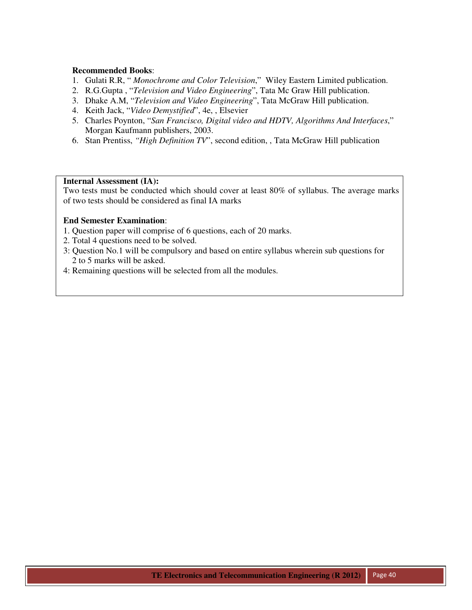- 1. Gulati R.R, " *Monochrome and Color Television*," Wiley Eastern Limited publication.
- 2. R.G.Gupta , "*Television and Video Engineering*", Tata Mc Graw Hill publication.
- 3. Dhake A.M, "*Television and Video Engineering*", Tata McGraw Hill publication.
- 4. Keith Jack, "*Video Demystified*", 4e, , Elsevier
- 5. Charles Poynton, "*San Francisco, Digital video and HDTV, Algorithms And Interfaces*," Morgan Kaufmann publishers, 2003.
- 6. Stan Prentiss, *"High Definition TV*", second edition, , Tata McGraw Hill publication

#### **Internal Assessment (IA):**

Two tests must be conducted which should cover at least 80% of syllabus. The average marks of two tests should be considered as final IA marks

- 1. Question paper will comprise of 6 questions, each of 20 marks.
- 2. Total 4 questions need to be solved.
- 3: Question No.1 will be compulsory and based on entire syllabus wherein sub questions for 2 to 5 marks will be asked.
- 4: Remaining questions will be selected from all the modules.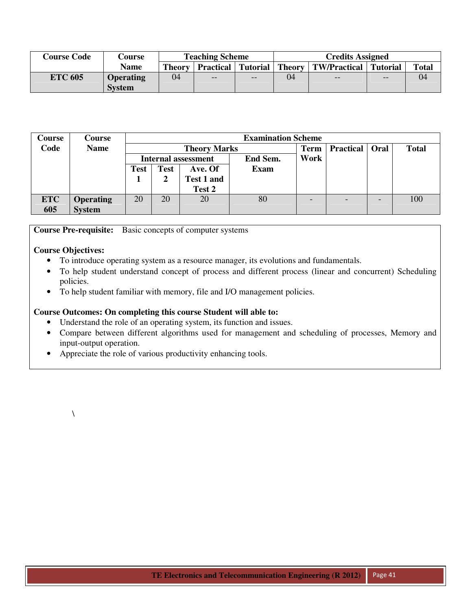| <b>Course Code</b> | Course           |               | <b>Teaching Scheme</b> |     | <b>Credits Assigned</b> |                                                         |     |              |  |  |
|--------------------|------------------|---------------|------------------------|-----|-------------------------|---------------------------------------------------------|-----|--------------|--|--|
|                    | Name             | <b>Theory</b> |                        |     |                         | Practical   Tutorial   Theory   TW/Practical   Tutorial |     | <b>Total</b> |  |  |
| <b>ETC 605</b>     | <b>Operating</b> | 04            | $-$                    | $-$ | 04                      | $- -$                                                   | $-$ | 04           |  |  |
|                    | <b>System</b>    |               |                        |     |                         |                                                         |     |              |  |  |

| Course     | <b>Course</b>    |             |      |                     | <b>Examination Scheme</b> |             |                  |      |              |  |
|------------|------------------|-------------|------|---------------------|---------------------------|-------------|------------------|------|--------------|--|
| Code       | <b>Name</b>      |             |      | <b>Theory Marks</b> |                           | <b>Term</b> | <b>Practical</b> | Oral | <b>Total</b> |  |
|            |                  |             |      | Internal assessment | End Sem.                  | Work        |                  |      |              |  |
|            |                  | <b>Test</b> | Test | Ave. Of             | <b>Exam</b>               |             |                  |      |              |  |
|            |                  |             |      | Test 1 and          |                           |             |                  |      |              |  |
|            |                  |             |      | Test 2              |                           |             |                  |      |              |  |
| <b>ETC</b> | <b>Operating</b> | 20          | 20   | 20                  | 80                        |             |                  |      | 100          |  |
| 605        | <b>System</b>    |             |      |                     |                           |             |                  |      |              |  |

**Course Pre-requisite:** Basic concepts of computer systems

# **Course Objectives:**

- To introduce operating system as a resource manager, its evolutions and fundamentals.
- To help student understand concept of process and different process (linear and concurrent) Scheduling policies.
- To help student familiar with memory, file and I/O management policies.

# **Course Outcomes: On completing this course Student will able to:**

- Understand the role of an operating system, its function and issues.
- Compare between different algorithms used for management and scheduling of processes, Memory and input-output operation.
- Appreciate the role of various productivity enhancing tools.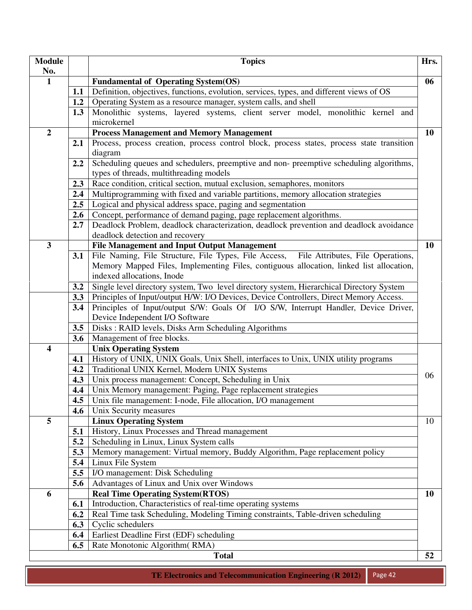| <b>Module</b>           |     | <b>Topics</b>                                                                                                              | Hrs.      |
|-------------------------|-----|----------------------------------------------------------------------------------------------------------------------------|-----------|
| No.                     |     |                                                                                                                            |           |
| $\mathbf{1}$            |     | <b>Fundamental of Operating System(OS)</b>                                                                                 | 06        |
|                         | 1.1 | Definition, objectives, functions, evolution, services, types, and different views of OS                                   |           |
|                         | 1.2 | Operating System as a resource manager, system calls, and shell                                                            |           |
|                         | 1.3 | Monolithic systems, layered systems, client server model, monolithic kernel and                                            |           |
|                         |     | microkernel                                                                                                                |           |
| $\overline{2}$          |     | <b>Process Management and Memory Management</b>                                                                            | 10        |
|                         | 2.1 | Process, process creation, process control block, process states, process state transition<br>diagram                      |           |
|                         | 2.2 | Scheduling queues and schedulers, preemptive and non-preemptive scheduling algorithms,                                     |           |
|                         |     | types of threads, multithreading models                                                                                    |           |
|                         | 2.3 | Race condition, critical section, mutual exclusion, semaphores, monitors                                                   |           |
|                         | 2.4 | Multiprogramming with fixed and variable partitions, memory allocation strategies                                          |           |
|                         | 2.5 | Logical and physical address space, paging and segmentation                                                                |           |
|                         | 2.6 | Concept, performance of demand paging, page replacement algorithms.                                                        |           |
|                         | 2.7 | Deadlock Problem, deadlock characterization, deadlock prevention and deadlock avoidance<br>deadlock detection and recovery |           |
| $\mathbf{3}$            |     | <b>File Management and Input Output Management</b>                                                                         | 10        |
|                         | 3.1 | File Naming, File Structure, File Types, File Access, File Attributes, File Operations,                                    |           |
|                         |     | Memory Mapped Files, Implementing Files, contiguous allocation, linked list allocation,                                    |           |
|                         |     | indexed allocations, Inode                                                                                                 |           |
|                         | 3.2 | Single level directory system, Two level directory system, Hierarchical Directory System                                   |           |
|                         | 3.3 | Principles of Input/output H/W: I/O Devices, Device Controllers, Direct Memory Access.                                     |           |
|                         | 3.4 | Principles of Input/output S/W: Goals Of I/O S/W, Interrupt Handler, Device Driver,                                        |           |
|                         |     | Device Independent I/O Software                                                                                            |           |
|                         | 3.5 | Disks: RAID levels, Disks Arm Scheduling Algorithms                                                                        |           |
|                         | 3.6 | Management of free blocks.                                                                                                 |           |
| $\overline{\mathbf{4}}$ |     | <b>Unix Operating System</b>                                                                                               |           |
|                         | 4.1 | History of UNIX, UNIX Goals, Unix Shell, interfaces to Unix, UNIX utility programs                                         |           |
|                         | 4.2 | Traditional UNIX Kernel, Modern UNIX Systems                                                                               |           |
|                         | 4.3 | Unix process management: Concept, Scheduling in Unix                                                                       | 06        |
|                         | 4.4 | Unix Memory management: Paging, Page replacement strategies                                                                |           |
|                         | 4.5 | Unix file management: I-node, File allocation, I/O management                                                              |           |
|                         | 4.6 | Unix Security measures                                                                                                     |           |
| 5                       |     | <b>Linux Operating System</b>                                                                                              | 10        |
|                         | 5.1 | History, Linux Processes and Thread management                                                                             |           |
|                         | 5.2 | Scheduling in Linux, Linux System calls                                                                                    |           |
|                         | 5.3 | Memory management: Virtual memory, Buddy Algorithm, Page replacement policy                                                |           |
|                         | 5.4 | Linux File System                                                                                                          |           |
|                         | 5.5 | I/O management: Disk Scheduling                                                                                            |           |
|                         | 5.6 | Advantages of Linux and Unix over Windows                                                                                  |           |
| 6                       |     | <b>Real Time Operating System(RTOS)</b>                                                                                    | <b>10</b> |
|                         | 6.1 | Introduction, Characteristics of real-time operating systems                                                               |           |
|                         | 6.2 | Real Time task Scheduling, Modeling Timing constraints, Table-driven scheduling                                            |           |
|                         | 6.3 | Cyclic schedulers                                                                                                          |           |
|                         | 6.4 | Earliest Deadline First (EDF) scheduling                                                                                   |           |
|                         | 6.5 | Rate Monotonic Algorithm (RMA)                                                                                             |           |
|                         |     | <b>Total</b>                                                                                                               | 52        |

**TE Electronics and Telecommunication Engineering (R 2012)** Page 42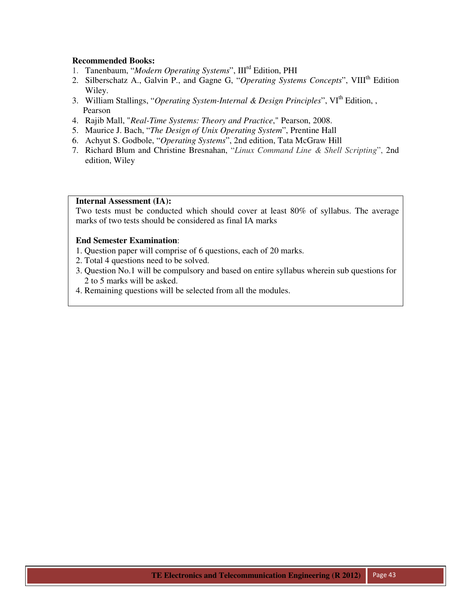- 1. Tanenbaum, "*Modern Operating Systems*", IIIrd Edition, PHI
- 2. Silberschatz A., Galvin P., and Gagne G, "Operating Systems Concepts", VIII<sup>th</sup> Edition Wiley.
- 3. William Stallings, "*Operating System-Internal & Design Principles*", VI<sup>th</sup> Edition, , Pearson
- 4. Rajib Mall, "*Real-Time Systems: Theory and Practice*," Pearson, 2008.
- 5. Maurice J. Bach, "*The Design of Unix Operating System*", Prentine Hall
- 6. Achyut S. Godbole, "*Operating Systems*", 2nd edition, Tata McGraw Hill
- 7. Richard Blum and Christine Bresnahan, "*Linux Command Line & Shell Scripting*", 2nd edition, Wiley

#### **Internal Assessment (IA):**

Two tests must be conducted which should cover at least 80% of syllabus. The average marks of two tests should be considered as final IA marks

- 1. Question paper will comprise of 6 questions, each of 20 marks.
- 2. Total 4 questions need to be solved.
- 3. Question No.1 will be compulsory and based on entire syllabus wherein sub questions for 2 to 5 marks will be asked.
- 4. Remaining questions will be selected from all the modules.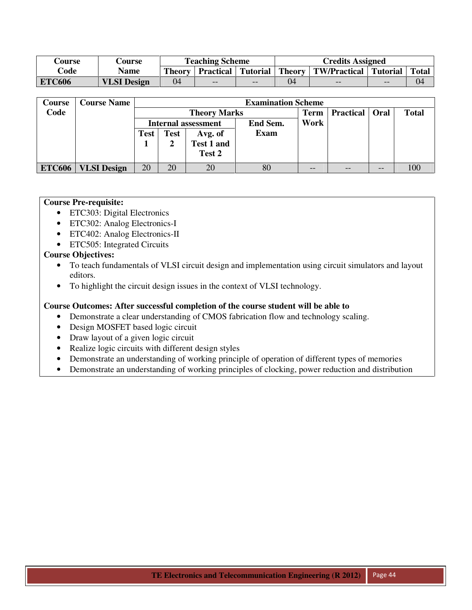| Course        | <b>Course</b>      |        | <b>Teaching Scheme</b> |       | <b>Credits Assigned</b> |                                                         |       |              |  |  |
|---------------|--------------------|--------|------------------------|-------|-------------------------|---------------------------------------------------------|-------|--------------|--|--|
| Code          | Name               | Theory |                        |       |                         | Practical   Tutorial   Theory   TW/Practical   Tutorial |       | <b>Total</b> |  |  |
| <b>ETC606</b> | <b>VLSI</b> Design | 04     | $- -$                  | $- -$ | 04                      | $ -$                                                    | $- -$ | 04           |  |  |

| Course        | <b>Course Name</b> |             | <b>Examination Scheme</b> |                            |          |             |                  |                   |              |  |  |
|---------------|--------------------|-------------|---------------------------|----------------------------|----------|-------------|------------------|-------------------|--------------|--|--|
| Code          |                    |             |                           | <b>Theory Marks</b>        |          | <b>Term</b> | <b>Practical</b> | Oral              | <b>Total</b> |  |  |
|               |                    |             |                           | <b>Internal assessment</b> | End Sem. | Work        |                  |                   |              |  |  |
|               |                    | <b>Test</b> | <b>Test</b>               | Avg. of                    | Exam     |             |                  |                   |              |  |  |
|               |                    |             |                           | Test 1 and                 |          |             |                  |                   |              |  |  |
|               |                    |             |                           | Test 2                     |          |             |                  |                   |              |  |  |
| <b>ETC606</b> | <b>VLSI</b> Design | 20          | 20                        | 20                         | 80       | --          | $- -$            | $\qquad \qquad -$ |              |  |  |

#### **Course Pre-requisite:**

- ETC303: Digital Electronics
- ETC302: Analog Electronics-I
- ETC402: Analog Electronics-II
- ETC505: Integrated Circuits

# **Course Objectives:**

- To teach fundamentals of VLSI circuit design and implementation using circuit simulators and layout editors.
- To highlight the circuit design issues in the context of VLSI technology.

# **Course Outcomes: After successful completion of the course student will be able to**

- Demonstrate a clear understanding of CMOS fabrication flow and technology scaling.
- Design MOSFET based logic circuit
- Draw layout of a given logic circuit
- Realize logic circuits with different design styles
- Demonstrate an understanding of working principle of operation of different types of memories
- Demonstrate an understanding of working principles of clocking, power reduction and distribution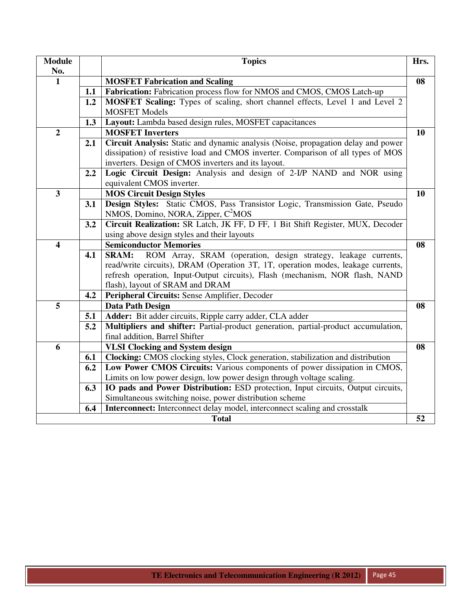| <b>Module</b><br>No.    |     | <b>Topics</b>                                                                                                                                                                                                                                                                         | Hrs. |
|-------------------------|-----|---------------------------------------------------------------------------------------------------------------------------------------------------------------------------------------------------------------------------------------------------------------------------------------|------|
| $\mathbf{1}$            |     | <b>MOSFET Fabrication and Scaling</b>                                                                                                                                                                                                                                                 | 08   |
|                         | 1.1 | Fabrication: Fabrication process flow for NMOS and CMOS, CMOS Latch-up                                                                                                                                                                                                                |      |
|                         | 1.2 | MOSFET Scaling: Types of scaling, short channel effects, Level 1 and Level 2<br><b>MOSFET Models</b>                                                                                                                                                                                  |      |
|                         | 1.3 | Layout: Lambda based design rules, MOSFET capacitances                                                                                                                                                                                                                                |      |
| $\overline{2}$          |     | <b>MOSFET Inverters</b>                                                                                                                                                                                                                                                               | 10   |
|                         | 2.1 | Circuit Analysis: Static and dynamic analysis (Noise, propagation delay and power<br>dissipation) of resistive load and CMOS inverter. Comparison of all types of MOS<br>inverters. Design of CMOS inverters and its layout.                                                          |      |
|                         | 2.2 | Logic Circuit Design: Analysis and design of 2-I/P NAND and NOR using<br>equivalent CMOS inverter.                                                                                                                                                                                    |      |
| $\overline{\mathbf{3}}$ |     | <b>MOS Circuit Design Styles</b>                                                                                                                                                                                                                                                      | 10   |
|                         | 3.1 | Design Styles: Static CMOS, Pass Transistor Logic, Transmission Gate, Pseudo<br>NMOS, Domino, NORA, Zipper, C <sup>2</sup> MOS                                                                                                                                                        |      |
|                         | 3.2 | Circuit Realization: SR Latch, JK FF, D FF, 1 Bit Shift Register, MUX, Decoder<br>using above design styles and their layouts                                                                                                                                                         |      |
| $\overline{\mathbf{4}}$ |     | <b>Semiconductor Memories</b>                                                                                                                                                                                                                                                         | 08   |
|                         | 4.1 | ROM Array, SRAM (operation, design strategy, leakage currents,<br><b>SRAM:</b><br>read/write circuits), DRAM (Operation 3T, 1T, operation modes, leakage currents,<br>refresh operation, Input-Output circuits), Flash (mechanism, NOR flash, NAND<br>flash), layout of SRAM and DRAM |      |
|                         | 4.2 | Peripheral Circuits: Sense Amplifier, Decoder                                                                                                                                                                                                                                         |      |
| 5                       |     | <b>Data Path Design</b>                                                                                                                                                                                                                                                               | 08   |
|                         | 5.1 | Adder: Bit adder circuits, Ripple carry adder, CLA adder                                                                                                                                                                                                                              |      |
|                         | 5.2 | Multipliers and shifter: Partial-product generation, partial-product accumulation,<br>final addition, Barrel Shifter                                                                                                                                                                  |      |
| 6                       |     | <b>VLSI Clocking and System design</b>                                                                                                                                                                                                                                                | 08   |
|                         | 6.1 | Clocking: CMOS clocking styles, Clock generation, stabilization and distribution                                                                                                                                                                                                      |      |
|                         | 6.2 | Low Power CMOS Circuits: Various components of power dissipation in CMOS,<br>Limits on low power design, low power design through voltage scaling.                                                                                                                                    |      |
|                         | 6.3 | IO pads and Power Distribution: ESD protection, Input circuits, Output circuits,<br>Simultaneous switching noise, power distribution scheme                                                                                                                                           |      |
|                         | 6.4 | Interconnect: Interconnect delay model, interconnect scaling and crosstalk                                                                                                                                                                                                            |      |
|                         |     | <b>Total</b>                                                                                                                                                                                                                                                                          | 52   |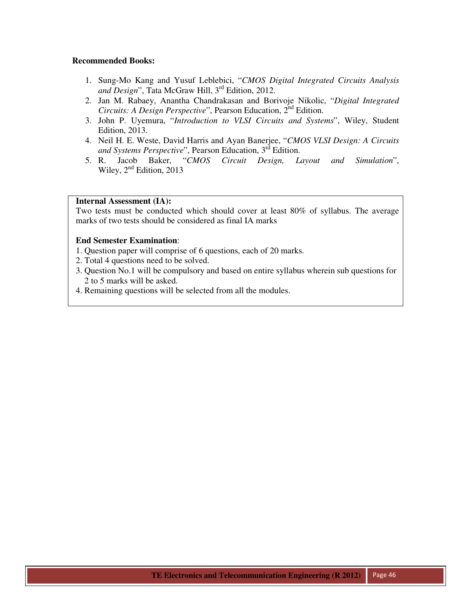- 1. Sung-Mo Kang and Yusuf Leblebici, "*CMOS Digital Integrated Circuits Analysis*  and Design", Tata McGraw Hill, 3<sup>rd</sup> Edition, 2012.
- 2. Jan M. Rabaey, Anantha Chandrakasan and Borivoje Nikolic, "*Digital Integrated Circuits: A Design Perspective*", Pearson Education, 2<sup>nd</sup> Edition.
- 3. John P. Uyemura, "*Introduction to VLSI Circuits and Systems*", Wiley, Student Edition, 2013.
- 4. Neil H. E. Weste, David Harris and Ayan Banerjee, "*CMOS VLSI Design: A Circuits*  and Systems Perspective", Pearson Education, 3<sup>rd</sup> Edition.
- 5. R. Jacob Baker, "*CMOS Circuit Design, Layout and Simulation*", Wiley,  $2<sup>nd</sup>$  Edition, 2013

#### **Internal Assessment (IA):**

Two tests must be conducted which should cover at least 80% of syllabus. The average marks of two tests should be considered as final IA marks

- 1. Question paper will comprise of 6 questions, each of 20 marks.
- 2. Total 4 questions need to be solved.
- 3. Question No.1 will be compulsory and based on entire syllabus wherein sub questions for 2 to 5 marks will be asked.
- 4. Remaining questions will be selected from all the modules.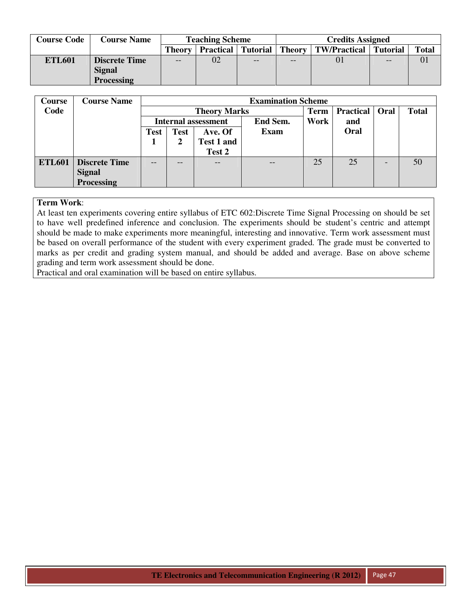| <b>Course Code</b> | <b>Course Name</b>   |        | <b>Teaching Scheme</b> |                 |               | <b>Credits Assigned</b> |          |              |  |  |
|--------------------|----------------------|--------|------------------------|-----------------|---------------|-------------------------|----------|--------------|--|--|
|                    |                      | Theory | <b>Practical</b>       | <b>Tutorial</b> | <b>Theory</b> | <b>TW/Practical</b>     | Tutorial | <b>Total</b> |  |  |
| <b>ETL601</b>      | <b>Discrete Time</b> | $- -$  | 02                     | $- -$           | $- -$         |                         | $- -$    | 01           |  |  |
|                    | <b>Signal</b>        |        |                        |                 |               |                         |          |              |  |  |
|                    | <b>Processing</b>    |        |                        |                 |               |                         |          |              |  |  |

| <b>Course</b> | <b>Course Name</b>   |             | <b>Examination Scheme</b>              |                     |      |             |                         |  |              |  |
|---------------|----------------------|-------------|----------------------------------------|---------------------|------|-------------|-------------------------|--|--------------|--|
| Code          |                      |             |                                        | <b>Theory Marks</b> |      | <b>Term</b> | <b>Practical</b>   Oral |  | <b>Total</b> |  |
|               |                      |             | End Sem.<br><b>Internal assessment</b> |                     |      | Work        | and                     |  |              |  |
|               |                      | <b>Test</b> | <b>Test</b>                            | Ave. Of             | Exam |             | Oral                    |  |              |  |
|               |                      |             |                                        | <b>Test 1 and</b>   |      |             |                         |  |              |  |
|               |                      |             |                                        | Test 2              |      |             |                         |  |              |  |
| <b>ETL601</b> | <b>Discrete Time</b> | --          | --                                     | $- -$               | --   | 25          | 25                      |  | 50           |  |
|               | <b>Signal</b>        |             |                                        |                     |      |             |                         |  |              |  |
|               | <b>Processing</b>    |             |                                        |                     |      |             |                         |  |              |  |

At least ten experiments covering entire syllabus of ETC 602:Discrete Time Signal Processing on should be set to have well predefined inference and conclusion. The experiments should be student's centric and attempt should be made to make experiments more meaningful, interesting and innovative. Term work assessment must be based on overall performance of the student with every experiment graded. The grade must be converted to marks as per credit and grading system manual, and should be added and average. Base on above scheme grading and term work assessment should be done.

Practical and oral examination will be based on entire syllabus.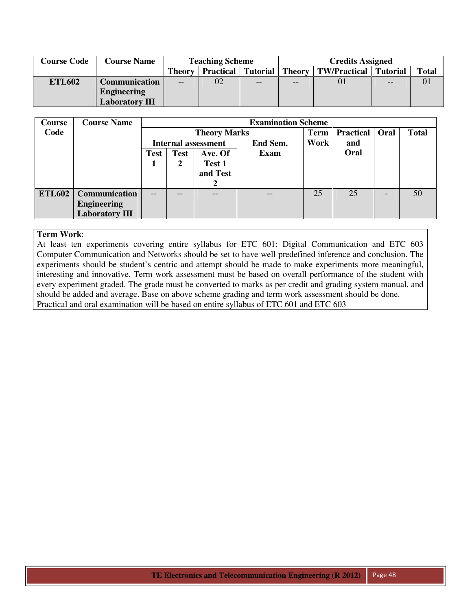| <b>Course Code</b> | <b>Course Name</b>    |        | <b>Teaching Scheme</b> |                 | <b>Credits Assigned</b> |                     |                 |              |
|--------------------|-----------------------|--------|------------------------|-----------------|-------------------------|---------------------|-----------------|--------------|
|                    |                       | Theory | <b>Practical</b>       | <b>Tutorial</b> | Theory                  | <b>TW/Practical</b> | <b>Tutorial</b> | <b>Total</b> |
| <b>ETL602</b>      | Communication         | $- -$  | 02                     | --              | --                      | 01                  | --              |              |
|                    | <b>Engineering</b>    |        |                        |                 |                         |                     |                 |              |
|                    | <b>Laboratory III</b> |        |                        |                 |                         |                     |                 |              |

| Course        | <b>Course Name</b>    |                            | <b>Examination Scheme</b> |                     |             |             |                  |      |              |  |
|---------------|-----------------------|----------------------------|---------------------------|---------------------|-------------|-------------|------------------|------|--------------|--|
| Code          |                       |                            |                           | <b>Theory Marks</b> |             | <b>Term</b> | <b>Practical</b> | Oral | <b>Total</b> |  |
|               |                       | <b>Internal assessment</b> |                           |                     | End Sem.    | Work        | and              |      |              |  |
|               |                       | <b>Test</b>                | <b>Test</b><br>Ave. Of    |                     | <b>Exam</b> |             | Oral             |      |              |  |
|               |                       |                            |                           | Test 1              |             |             |                  |      |              |  |
|               |                       |                            | and Test                  |                     |             |             |                  |      |              |  |
|               |                       |                            |                           | 2                   |             |             |                  |      |              |  |
| <b>ETL602</b> | Communication         | $- -$                      | $ -$                      |                     |             | 25          | 25               |      | 50           |  |
|               | <b>Engineering</b>    |                            |                           |                     |             |             |                  |      |              |  |
|               | <b>Laboratory III</b> |                            |                           |                     |             |             |                  |      |              |  |

At least ten experiments covering entire syllabus for ETC 601: Digital Communication and ETC 603 Computer Communication and Networks should be set to have well predefined inference and conclusion. The experiments should be student's centric and attempt should be made to make experiments more meaningful, interesting and innovative. Term work assessment must be based on overall performance of the student with every experiment graded. The grade must be converted to marks as per credit and grading system manual, and should be added and average. Base on above scheme grading and term work assessment should be done. Practical and oral examination will be based on entire syllabus of ETC 601 and ETC 603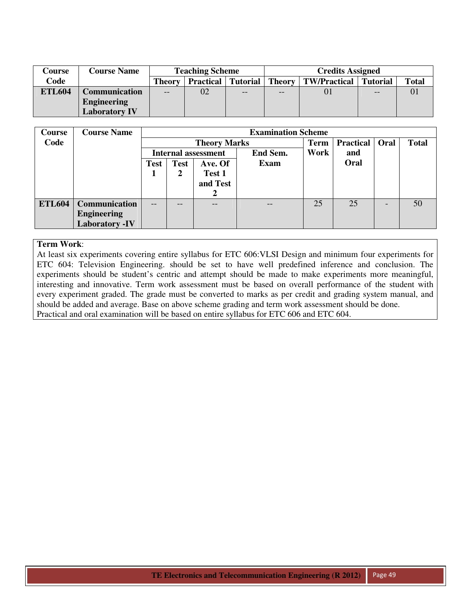| Course        | <b>Course Name</b>   | <b>Teaching Scheme</b> |                  |                   |       | <b>Credits Assigned</b>      |       |              |  |  |
|---------------|----------------------|------------------------|------------------|-------------------|-------|------------------------------|-------|--------------|--|--|
| Code          |                      | Theory                 | <b>Practical</b> | Tutorial   Theory |       | <b>TW/Practical</b> Tutorial |       | <b>Total</b> |  |  |
| <b>ETL604</b> | <b>Communication</b> | $- -$                  | 02               | $- -$             | $- -$ |                              | $- -$ |              |  |  |
|               | <b>Engineering</b>   |                        |                  |                   |       |                              |       |              |  |  |
|               | <b>Laboratory IV</b> |                        |                  |                   |       |                              |       |              |  |  |

| Course        | <b>Course Name</b>    |                            | <b>Examination Scheme</b> |                        |          |             |                  |      |              |
|---------------|-----------------------|----------------------------|---------------------------|------------------------|----------|-------------|------------------|------|--------------|
| Code          |                       |                            |                           | <b>Theory Marks</b>    |          | <b>Term</b> | <b>Practical</b> | Oral | <b>Total</b> |
|               |                       | <b>Internal assessment</b> |                           |                        | End Sem. | Work        | and              |      |              |
|               |                       | <b>Test</b>                | <b>Test</b>               | <b>Exam</b><br>Ave. Of |          |             | Oral             |      |              |
|               |                       |                            |                           | Test 1                 |          |             |                  |      |              |
|               |                       |                            | and Test                  |                        |          |             |                  |      |              |
|               |                       |                            |                           |                        |          |             |                  |      |              |
| <b>ETL604</b> | <b>Communication</b>  | $- -$                      |                           |                        |          | 25          | 25               |      | 50           |
|               | <b>Engineering</b>    |                            |                           |                        |          |             |                  |      |              |
|               | <b>Laboratory -IV</b> |                            |                           |                        |          |             |                  |      |              |

At least six experiments covering entire syllabus for ETC 606:VLSI Design and minimum four experiments for ETC 604: Television Engineering. should be set to have well predefined inference and conclusion. The experiments should be student's centric and attempt should be made to make experiments more meaningful, interesting and innovative. Term work assessment must be based on overall performance of the student with every experiment graded. The grade must be converted to marks as per credit and grading system manual, and should be added and average. Base on above scheme grading and term work assessment should be done. Practical and oral examination will be based on entire syllabus for ETC 606 and ETC 604.